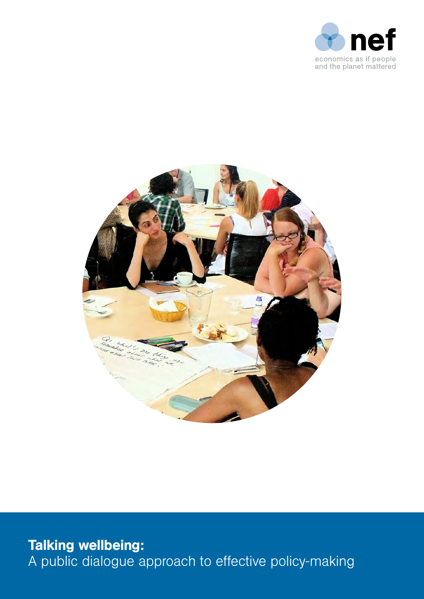



Talking wellbeing: A public dialogue approach to effective policy-making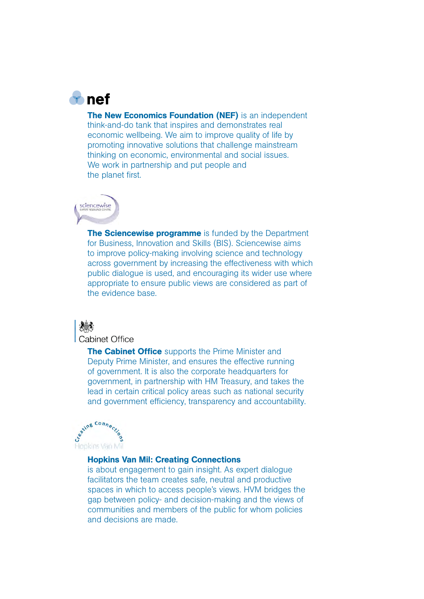

The New Economics Foundation (NEF) is an independent think-and-do tank that inspires and demonstrates real economic wellbeing. We aim to improve quality of life by promoting innovative solutions that challenge mainstream thinking on economic, environmental and social issues. We work in partnership and put people and the planet first.



The Sciencewise programme is funded by the Department for Business, Innovation and Skills (BIS). Sciencewise aims to improve policy-making involving science and technology across government by increasing the effectiveness with which public dialogue is used, and encouraging its wider use where appropriate to ensure public views are considered as part of the evidence base.



**Cabinet Office** 

**The Cabinet Office** supports the Prime Minister and Deputy Prime Minister, and ensures the effective running of government. It is also the corporate headquarters for government, in partnership with HM Treasury, and takes the lead in certain critical policy areas such as national security and government efficiency, transparency and accountability.



Hopkins Van Mil: Creating Connections

is about engagement to gain insight. As expert dialogue facilitators the team creates safe, neutral and productive spaces in which to access people's views. HVM bridges the gap between policy- and decision-making and the views of communities and members of the public for whom policies and decisions are made.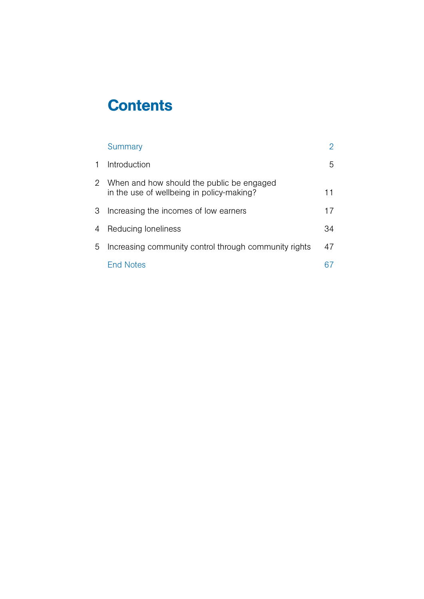# **Contents**

|    | Summary                                                                                  | 2  |
|----|------------------------------------------------------------------------------------------|----|
| 1. | Introduction                                                                             | 5  |
|    | 2 When and how should the public be engaged<br>in the use of wellbeing in policy-making? | 11 |
| 3  | Increasing the incomes of low earners                                                    | 17 |
| 4  | Reducing loneliness                                                                      | 34 |
| 5  | Increasing community control through community rights                                    | 47 |
|    | <b>Fnd Notes</b>                                                                         |    |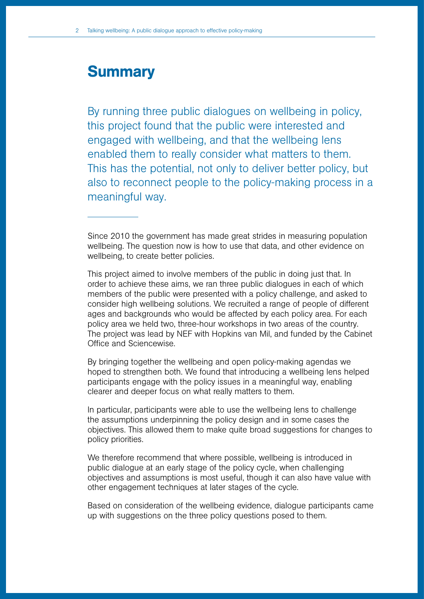# <span id="page-3-0"></span>**Summary**

By running three public dialogues on wellbeing in policy, this project found that the public were interested and engaged with wellbeing, and that the wellbeing lens enabled them to really consider what matters to them. This has the potential, not only to deliver better policy, but also to reconnect people to the policy-making process in a meaningful way.

Since 2010 the government has made great strides in measuring population wellbeing. The question now is how to use that data, and other evidence on wellbeing, to create better policies.

This project aimed to involve members of the public in doing just that. In order to achieve these aims, we ran three public dialogues in each of which members of the public were presented with a policy challenge, and asked to consider high wellbeing solutions. We recruited a range of people of different ages and backgrounds who would be affected by each policy area. For each policy area we held two, three-hour workshops in two areas of the country. The project was lead by NEF with Hopkins van Mil, and funded by the Cabinet Office and Sciencewise.

By bringing together the wellbeing and open policy-making agendas we hoped to strengthen both. We found that introducing a wellbeing lens helped participants engage with the policy issues in a meaningful way, enabling clearer and deeper focus on what really matters to them.

In particular, participants were able to use the wellbeing lens to challenge the assumptions underpinning the policy design and in some cases the objectives. This allowed them to make quite broad suggestions for changes to policy priorities.

We therefore recommend that where possible, wellbeing is introduced in public dialogue at an early stage of the policy cycle, when challenging objectives and assumptions is most useful, though it can also have value with other engagement techniques at later stages of the cycle.

Based on consideration of the wellbeing evidence, dialogue participants came up with suggestions on the three policy questions posed to them.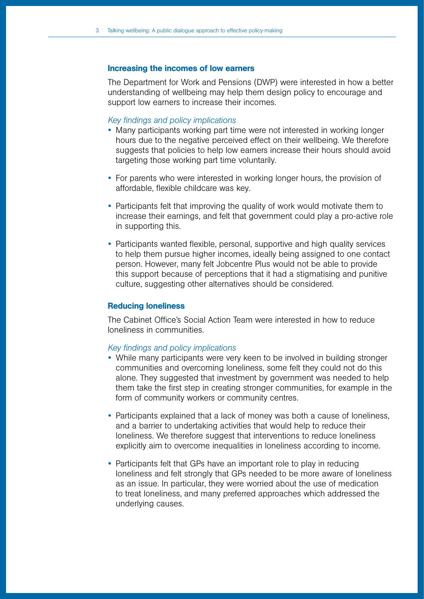#### Increasing the incomes of low earners

The Department for Work and Pensions (DWP) were interested in how a better understanding of wellbeing may help them design policy to encourage and support low earners to increase their incomes.

#### *Key findings and policy implications*

- Many participants working part time were not interested in working longer hours due to the negative perceived effect on their wellbeing. We therefore suggests that policies to help low earners increase their hours should avoid targeting those working part time voluntarily.
- For parents who were interested in working longer hours, the provision of affordable, flexible childcare was key.
- Participants felt that improving the quality of work would motivate them to increase their earnings, and felt that government could play a pro-active role in supporting this.
- Participants wanted flexible, personal, supportive and high quality services to help them pursue higher incomes, ideally being assigned to one contact person. However, many felt Jobcentre Plus would not be able to provide this support because of perceptions that it had a stigmatising and punitive culture, suggesting other alternatives should be considered.

#### Reducing loneliness

The Cabinet Office's Social Action Team were interested in how to reduce loneliness in communities.

#### *Key findings and policy implications*

- While many participants were very keen to be involved in building stronger communities and overcoming loneliness, some felt they could not do this alone. They suggested that investment by government was needed to help them take the first step in creating stronger communities, for example in the form of community workers or community centres.
- Participants explained that a lack of money was both a cause of loneliness, and a barrier to undertaking activities that would help to reduce their loneliness. We therefore suggest that interventions to reduce loneliness explicitly aim to overcome inequalities in loneliness according to income.
- Participants felt that GPs have an important role to play in reducing loneliness and felt strongly that GPs needed to be more aware of loneliness as an issue. In particular, they were worried about the use of medication to treat loneliness, and many preferred approaches which addressed the underlying causes.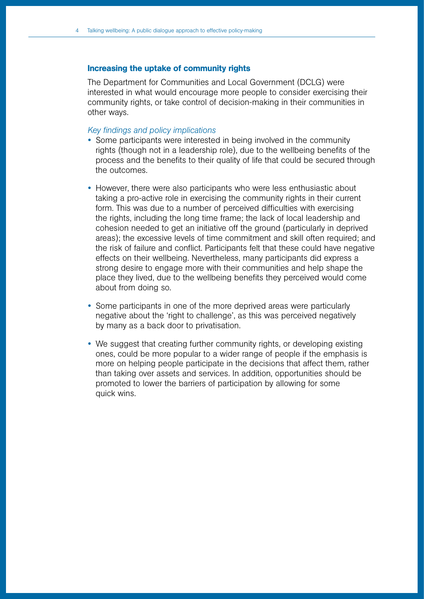### Increasing the uptake of community rights

The Department for Communities and Local Government (DCLG) were interested in what would encourage more people to consider exercising their community rights, or take control of decision-making in their communities in other ways.

### *Key findings and policy implications*

- Some participants were interested in being involved in the community rights (though not in a leadership role), due to the wellbeing benefits of the process and the benefits to their quality of life that could be secured through the outcomes.
- However, there were also participants who were less enthusiastic about taking a pro-active role in exercising the community rights in their current form. This was due to a number of perceived difficulties with exercising the rights, including the long time frame; the lack of local leadership and cohesion needed to get an initiative off the ground (particularly in deprived areas); the excessive levels of time commitment and skill often required; and the risk of failure and conflict. Participants felt that these could have negative effects on their wellbeing. Nevertheless, many participants did express a strong desire to engage more with their communities and help shape the place they lived, due to the wellbeing benefits they perceived would come about from doing so.
- Some participants in one of the more deprived areas were particularly negative about the 'right to challenge', as this was perceived negatively by many as a back door to privatisation.
- We suggest that creating further community rights, or developing existing ones, could be more popular to a wider range of people if the emphasis is more on helping people participate in the decisions that affect them, rather than taking over assets and services. In addition, opportunities should be promoted to lower the barriers of participation by allowing for some quick wins.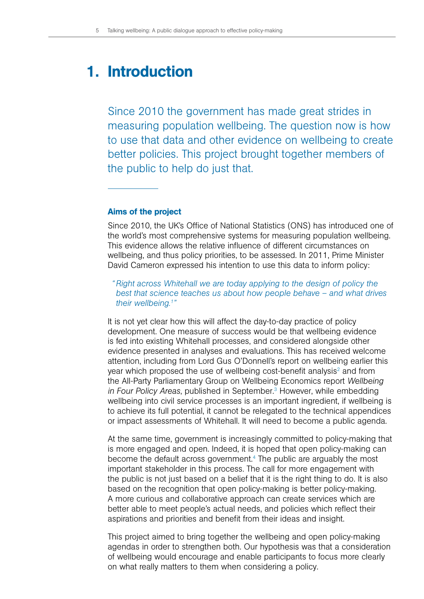# <span id="page-6-0"></span>1. Introduction

Since 2010 the government has made great strides in measuring population wellbeing. The question now is how to use that data and other evidence on wellbeing to create better policies. This project brought together members of the public to help do just that.

#### Aims of the project

Since 2010, the UK's Office of National Statistics (ONS) has introduced one of the world's most comprehensive systems for measuring population wellbeing. This evidence allows the relative influence of different circumstances on wellbeing, and thus policy priorities, to be assessed. In 2011, Prime Minister David Cameron expressed his intention to use this data to inform policy:

*"Right across Whitehall we are today applying to the design of policy the best that science teaches us about how people behave – and what drives their wellbeing.1 "*

It is not yet clear how this will affect the day-to-day practice of policy development. One measure of success would be that wellbeing evidence is fed into existing Whitehall processes, and considered alongside other evidence presented in analyses and evaluations. This has received welcome attention, including from Lord Gus O'Donnell's report on wellbeing earlier this year which proposed the use of wellbeing cost-benefit analysis<sup>2</sup> and from the All-Party Parliamentary Group on Wellbeing Economics report *Wellbeing in Four Policy Areas*, published in September.3 However, while embedding wellbeing into civil service processes is an important ingredient, if wellbeing is to achieve its full potential, it cannot be relegated to the technical appendices or impact assessments of Whitehall. It will need to become a public agenda.

At the same time, government is increasingly committed to policy-making that is more engaged and open. Indeed, it is hoped that open policy-making can become the default across government.<sup>4</sup> The public are arguably the most important stakeholder in this process. The call for more engagement with the public is not just based on a belief that it is the right thing to do. It is also based on the recognition that open policy-making is better policy-making. A more curious and collaborative approach can create services which are better able to meet people's actual needs, and policies which reflect their aspirations and priorities and benefit from their ideas and insight.

This project aimed to bring together the wellbeing and open policy-making agendas in order to strengthen both. Our hypothesis was that a consideration of wellbeing would encourage and enable participants to focus more clearly on what really matters to them when considering a policy.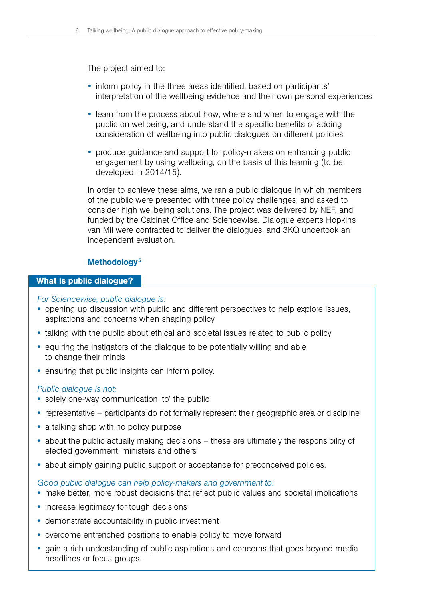The project aimed to:

- inform policy in the three areas identified, based on participants' interpretation of the wellbeing evidence and their own personal experiences
- learn from the process about how, where and when to engage with the public on wellbeing, and understand the specific benefits of adding consideration of wellbeing into public dialogues on different policies
- produce guidance and support for policy-makers on enhancing public engagement by using wellbeing, on the basis of this learning (to be developed in 2014/15).

In order to achieve these aims, we ran a public dialogue in which members of the public were presented with three policy challenges, and asked to consider high wellbeing solutions. The project was delivered by NEF, and funded by the Cabinet Office and Sciencewise. Dialogue experts Hopkins van Mil were contracted to deliver the dialogues, and 3KQ undertook an independent evaluation.

# Methodology<sup>5</sup>

### What is public dialogue?

### *For Sciencewise, public dialogue is:*

- opening up discussion with public and different perspectives to help explore issues, aspirations and concerns when shaping policy
- talking with the public about ethical and societal issues related to public policy
- equiring the instigators of the dialogue to be potentially willing and able to change their minds
- ensuring that public insights can inform policy.

### *Public dialogue is not:*

- solely one-way communication 'to' the public
- representative participants do not formally represent their geographic area or discipline
- a talking shop with no policy purpose
- about the public actually making decisions these are ultimately the responsibility of elected government, ministers and others
- about simply gaining public support or acceptance for preconceived policies.

# *Good public dialogue can help policy-makers and government to:*

- make better, more robust decisions that reflect public values and societal implications
- increase legitimacy for tough decisions
- demonstrate accountability in public investment
- overcome entrenched positions to enable policy to move forward
- gain a rich understanding of public aspirations and concerns that goes beyond media headlines or focus groups.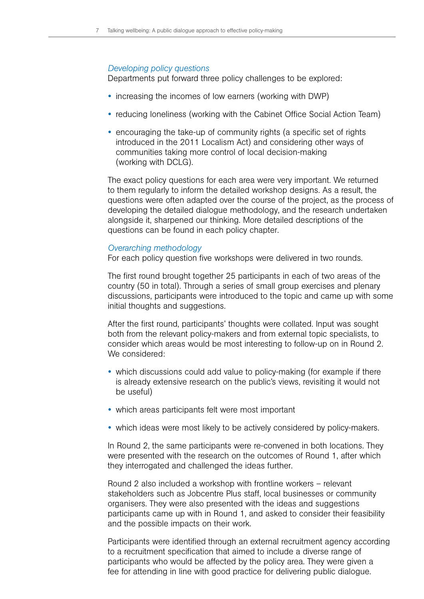#### *Developing policy questions*

Departments put forward three policy challenges to be explored:

- increasing the incomes of low earners (working with DWP)
- reducing loneliness (working with the Cabinet Office Social Action Team)
- encouraging the take-up of community rights (a specific set of rights introduced in the 2011 Localism Act) and considering other ways of communities taking more control of local decision-making (working with DCLG).

The exact policy questions for each area were very important. We returned to them regularly to inform the detailed workshop designs. As a result, the questions were often adapted over the course of the project, as the process of developing the detailed dialogue methodology, and the research undertaken alongside it, sharpened our thinking. More detailed descriptions of the questions can be found in each policy chapter.

#### *Overarching methodology*

For each policy question five workshops were delivered in two rounds.

The first round brought together 25 participants in each of two areas of the country (50 in total). Through a series of small group exercises and plenary discussions, participants were introduced to the topic and came up with some initial thoughts and suggestions.

After the first round, participants' thoughts were collated. Input was sought both from the relevant policy-makers and from external topic specialists, to consider which areas would be most interesting to follow-up on in Round 2. We considered:

- which discussions could add value to policy-making (for example if there is already extensive research on the public's views, revisiting it would not be useful)
- which areas participants felt were most important
- which ideas were most likely to be actively considered by policy-makers.

In Round 2, the same participants were re-convened in both locations. They were presented with the research on the outcomes of Round 1, after which they interrogated and challenged the ideas further.

Round 2 also included a workshop with frontline workers – relevant stakeholders such as Jobcentre Plus staff, local businesses or community organisers. They were also presented with the ideas and suggestions participants came up with in Round 1, and asked to consider their feasibility and the possible impacts on their work.

Participants were identified through an external recruitment agency according to a recruitment specification that aimed to include a diverse range of participants who would be affected by the policy area. They were given a fee for attending in line with good practice for delivering public dialogue.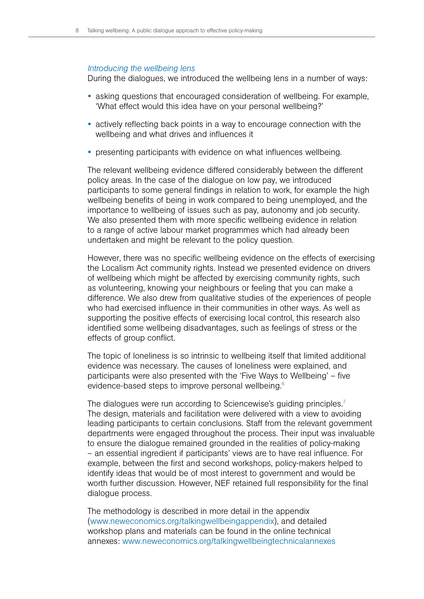#### *Introducing the wellbeing lens*

During the dialogues, we introduced the wellbeing lens in a number of ways:

- asking questions that encouraged consideration of wellbeing. For example, 'What effect would this idea have on your personal wellbeing?'
- actively reflecting back points in a way to encourage connection with the wellbeing and what drives and influences it
- presenting participants with evidence on what influences wellbeing.

The relevant wellbeing evidence differed considerably between the different policy areas. In the case of the dialogue on low pay, we introduced participants to some general findings in relation to work, for example the high wellbeing benefits of being in work compared to being unemployed, and the importance to wellbeing of issues such as pay, autonomy and job security. We also presented them with more specific wellbeing evidence in relation to a range of active labour market programmes which had already been undertaken and might be relevant to the policy question.

However, there was no specific wellbeing evidence on the effects of exercising the Localism Act community rights. Instead we presented evidence on drivers of wellbeing which might be affected by exercising community rights, such as volunteering, knowing your neighbours or feeling that you can make a difference. We also drew from qualitative studies of the experiences of people who had exercised influence in their communities in other ways. As well as supporting the positive effects of exercising local control, this research also identified some wellbeing disadvantages, such as feelings of stress or the effects of group conflict.

The topic of loneliness is so intrinsic to wellbeing itself that limited additional evidence was necessary. The causes of loneliness were explained, and participants were also presented with the 'Five Ways to Wellbeing' – five evidence-based steps to improve personal wellbeing.<sup>6</sup>

The dialogues were run according to Sciencewise's guiding principles.<sup>7</sup> The design, materials and facilitation were delivered with a view to avoiding leading participants to certain conclusions. Staff from the relevant government departments were engaged throughout the process. Their input was invaluable to ensure the dialogue remained grounded in the realities of policy-making – an essential ingredient if participants' views are to have real influence. For example, between the first and second workshops, policy-makers helped to identify ideas that would be of most interest to government and would be worth further discussion. However, NEF retained full responsibility for the final dialogue process.

The methodology is described in more detail in the appendix ([www.neweconomics.org/talkingwellbeingappendix\)](www.neweconomics.org/talkingwellbeingappendix), and detailed workshop plans and materials can be found in the online technical annexes: <www.neweconomics.org/talkingwellbeingtechnicalannexes>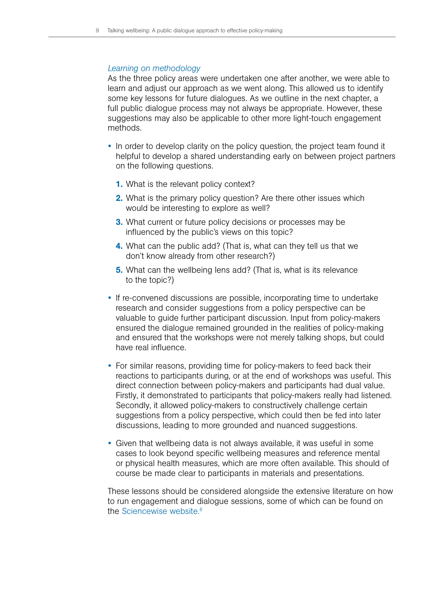#### *Learning on methodology*

As the three policy areas were undertaken one after another, we were able to learn and adjust our approach as we went along. This allowed us to identify some key lessons for future dialogues. As we outline in the next chapter, a full public dialogue process may not always be appropriate. However, these suggestions may also be applicable to other more light-touch engagement methods.

- In order to develop clarity on the policy question, the project team found it helpful to develop a shared understanding early on between project partners on the following questions.
	- 1. What is the relevant policy context?
	- **2.** What is the primary policy question? Are there other issues which would be interesting to explore as well?
	- **3.** What current or future policy decisions or processes may be influenced by the public's views on this topic?
	- 4. What can the public add? (That is, what can they tell us that we don't know already from other research?)
	- **5.** What can the wellbeing lens add? (That is, what is its relevance to the topic?)
- If re-convened discussions are possible, incorporating time to undertake research and consider suggestions from a policy perspective can be valuable to guide further participant discussion. Input from policy-makers ensured the dialogue remained grounded in the realities of policy-making and ensured that the workshops were not merely talking shops, but could have real influence.
- For similar reasons, providing time for policy-makers to feed back their reactions to participants during, or at the end of workshops was useful. This direct connection between policy-makers and participants had dual value. Firstly, it demonstrated to participants that policy-makers really had listened. Secondly, it allowed policy-makers to constructively challenge certain suggestions from a policy perspective, which could then be fed into later discussions, leading to more grounded and nuanced suggestions.
- Given that wellbeing data is not always available, it was useful in some cases to look beyond specific wellbeing measures and reference mental or physical health measures, which are more often available. This should of course be made clear to participants in materials and presentations.

These lessons should be considered alongside the extensive literature on how to run engagement and dialogue sessions, some of which can be found on the [Sciencewise website.](http://www.sciencewise-erc.org.uk/)<sup>8</sup>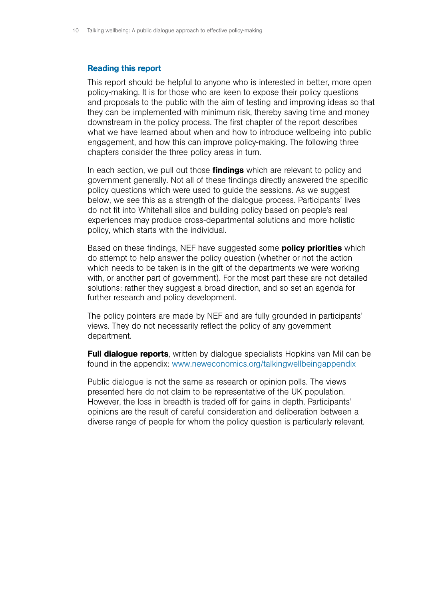#### Reading this report

This report should be helpful to anyone who is interested in better, more open policy-making. It is for those who are keen to expose their policy questions and proposals to the public with the aim of testing and improving ideas so that they can be implemented with minimum risk, thereby saving time and money downstream in the policy process. The first chapter of the report describes what we have learned about when and how to introduce wellbeing into public engagement, and how this can improve policy-making. The following three chapters consider the three policy areas in turn.

In each section, we pull out those **findings** which are relevant to policy and government generally. Not all of these findings directly answered the specific policy questions which were used to guide the sessions. As we suggest below, we see this as a strength of the dialogue process. Participants' lives do not fit into Whitehall silos and building policy based on people's real experiences may produce cross-departmental solutions and more holistic policy, which starts with the individual.

Based on these findings, NEF have suggested some **policy priorities** which do attempt to help answer the policy question (whether or not the action which needs to be taken is in the gift of the departments we were working with, or another part of government). For the most part these are not detailed solutions: rather they suggest a broad direction, and so set an agenda for further research and policy development.

The policy pointers are made by NEF and are fully grounded in participants' views. They do not necessarily reflect the policy of any government department.

**Full dialogue reports**, written by dialogue specialists Hopkins van Mil can be found in the appendix: <www.neweconomics.org/talkingwellbeingappendix>

Public dialogue is not the same as research or opinion polls. The views presented here do not claim to be representative of the UK population. However, the loss in breadth is traded off for gains in depth. Participants' opinions are the result of careful consideration and deliberation between a diverse range of people for whom the policy question is particularly relevant.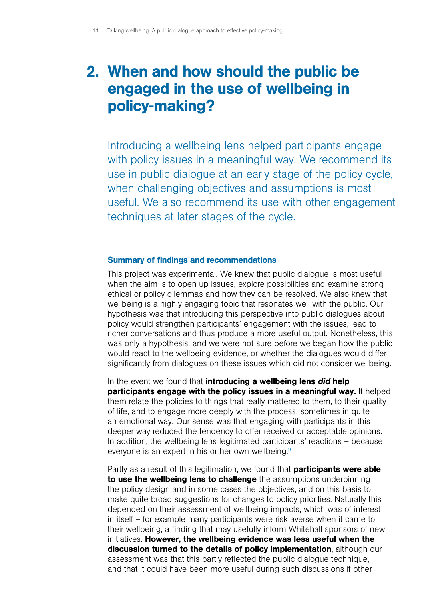# <span id="page-12-0"></span>2. When and how should the public be engaged in the use of wellbeing in policy-making?

Introducing a wellbeing lens helped participants engage with policy issues in a meaningful way. We recommend its use in public dialogue at an early stage of the policy cycle, when challenging objectives and assumptions is most useful. We also recommend its use with other engagement techniques at later stages of the cycle.

#### Summary of findings and recommendations

This project was experimental. We knew that public dialogue is most useful when the aim is to open up issues, explore possibilities and examine strong ethical or policy dilemmas and how they can be resolved. We also knew that wellbeing is a highly engaging topic that resonates well with the public. Our hypothesis was that introducing this perspective into public dialogues about policy would strengthen participants' engagement with the issues, lead to richer conversations and thus produce a more useful output. Nonetheless, this was only a hypothesis, and we were not sure before we began how the public would react to the wellbeing evidence, or whether the dialogues would differ significantly from dialogues on these issues which did not consider wellbeing.

In the event we found that introducing a wellbeing lens *did* help participants engage with the policy issues in a meaningful way. It helped them relate the policies to things that really mattered to them, to their quality of life, and to engage more deeply with the process, sometimes in quite an emotional way. Our sense was that engaging with participants in this deeper way reduced the tendency to offer received or acceptable opinions. In addition, the wellbeing lens legitimated participants' reactions – because everyone is an expert in his or her own wellbeing.<sup>9</sup>

Partly as a result of this legitimation, we found that **participants were able** to use the wellbeing lens to challenge the assumptions underpinning the policy design and in some cases the objectives, and on this basis to make quite broad suggestions for changes to policy priorities. Naturally this depended on their assessment of wellbeing impacts, which was of interest in itself – for example many participants were risk averse when it came to their wellbeing, a finding that may usefully inform Whitehall sponsors of new initiatives. However, the wellbeing evidence was less useful when the discussion turned to the details of policy implementation, although our assessment was that this partly reflected the public dialogue technique, and that it could have been more useful during such discussions if other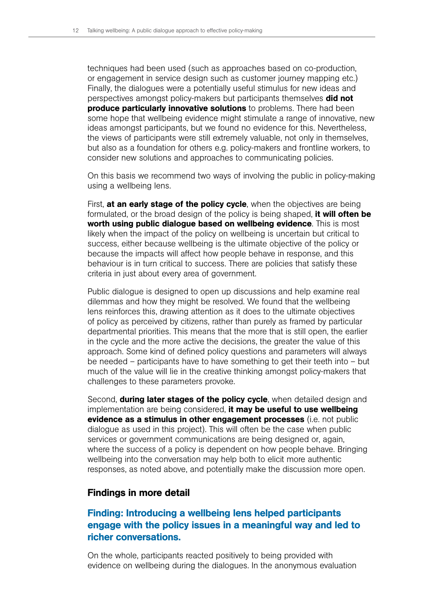techniques had been used (such as approaches based on co-production, or engagement in service design such as customer journey mapping etc.) Finally, the dialogues were a potentially useful stimulus for new ideas and perspectives amongst policy-makers but participants themselves **did not produce particularly innovative solutions** to problems. There had been some hope that wellbeing evidence might stimulate a range of innovative, new ideas amongst participants, but we found no evidence for this. Nevertheless, the views of participants were still extremely valuable, not only in themselves, but also as a foundation for others e.g. policy-makers and frontline workers, to consider new solutions and approaches to communicating policies.

On this basis we recommend two ways of involving the public in policy-making using a wellbeing lens.

First, at an early stage of the policy cycle, when the objectives are being formulated, or the broad design of the policy is being shaped, it will often be worth using public dialogue based on wellbeing evidence. This is most likely when the impact of the policy on wellbeing is uncertain but critical to success, either because wellbeing is the ultimate objective of the policy or because the impacts will affect how people behave in response, and this behaviour is in turn critical to success. There are policies that satisfy these criteria in just about every area of government.

Public dialogue is designed to open up discussions and help examine real dilemmas and how they might be resolved. We found that the wellbeing lens reinforces this, drawing attention as it does to the ultimate objectives of policy as perceived by citizens, rather than purely as framed by particular departmental priorities. This means that the more that is still open, the earlier in the cycle and the more active the decisions, the greater the value of this approach. Some kind of defined policy questions and parameters will always be needed – participants have to have something to get their teeth into – but much of the value will lie in the creative thinking amongst policy-makers that challenges to these parameters provoke.

Second, **during later stages of the policy cycle**, when detailed design and implementation are being considered, it may be useful to use wellbeing evidence as a stimulus in other engagement processes (i.e. not public dialogue as used in this project). This will often be the case when public services or government communications are being designed or, again, where the success of a policy is dependent on how people behave. Bringing wellbeing into the conversation may help both to elicit more authentic responses, as noted above, and potentially make the discussion more open.

# Findings in more detail

# Finding: Introducing a wellbeing lens helped participants engage with the policy issues in a meaningful way and led to richer conversations.

On the whole, participants reacted positively to being provided with evidence on wellbeing during the dialogues. In the anonymous evaluation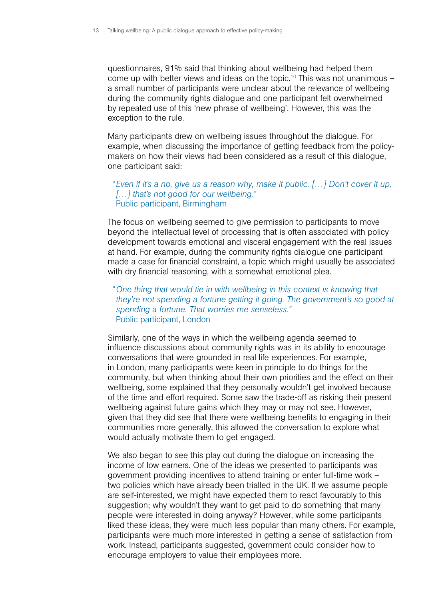questionnaires, 91% said that thinking about wellbeing had helped them come up with better views and ideas on the topic.<sup>10</sup> This was not unanimous  $$ a small number of participants were unclear about the relevance of wellbeing during the community rights dialogue and one participant felt overwhelmed by repeated use of this 'new phrase of wellbeing'. However, this was the exception to the rule.

Many participants drew on wellbeing issues throughout the dialogue. For example, when discussing the importance of getting feedback from the policymakers on how their views had been considered as a result of this dialogue, one participant said:

## *"Even if it's a no, give us a reason why, make it public. […] Don't cover it up, […] that's not good for our wellbeing."*  Public participant, Birmingham

The focus on wellbeing seemed to give permission to participants to move beyond the intellectual level of processing that is often associated with policy development towards emotional and visceral engagement with the real issues at hand. For example, during the community rights dialogue one participant made a case for financial constraint, a topic which might usually be associated with dry financial reasoning, with a somewhat emotional plea.

## *"One thing that would tie in with wellbeing in this context is knowing that they're not spending a fortune getting it going. The government's so good at spending a fortune. That worries me senseless."* Public participant, London

Similarly, one of the ways in which the wellbeing agenda seemed to influence discussions about community rights was in its ability to encourage conversations that were grounded in real life experiences. For example, in London, many participants were keen in principle to do things for the community, but when thinking about their own priorities and the effect on their wellbeing, some explained that they personally wouldn't get involved because of the time and effort required. Some saw the trade-off as risking their present wellbeing against future gains which they may or may not see. However, given that they did see that there were wellbeing benefits to engaging in their communities more generally, this allowed the conversation to explore what would actually motivate them to get engaged.

We also began to see this play out during the dialogue on increasing the income of low earners. One of the ideas we presented to participants was government providing incentives to attend training or enter full-time work – two policies which have already been trialled in the UK. If we assume people are self-interested, we might have expected them to react favourably to this suggestion; why wouldn't they want to get paid to do something that many people were interested in doing anyway? However, while some participants liked these ideas, they were much less popular than many others. For example, participants were much more interested in getting a sense of satisfaction from work. Instead, participants suggested, government could consider how to encourage employers to value their employees more.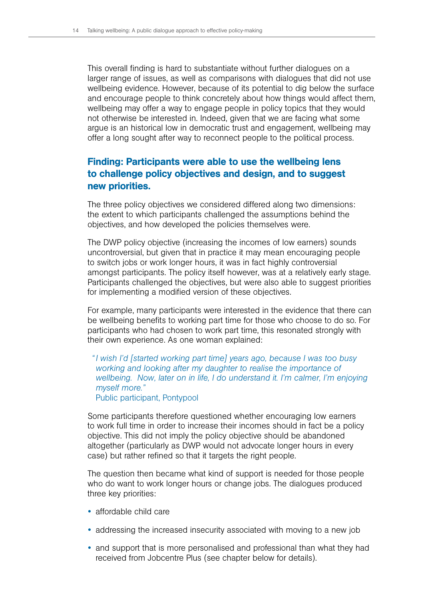This overall finding is hard to substantiate without further dialogues on a larger range of issues, as well as comparisons with dialogues that did not use wellbeing evidence. However, because of its potential to dig below the surface and encourage people to think concretely about how things would affect them, wellbeing may offer a way to engage people in policy topics that they would not otherwise be interested in. Indeed, given that we are facing what some argue is an historical low in democratic trust and engagement, wellbeing may offer a long sought after way to reconnect people to the political process.

# Finding: Participants were able to use the wellbeing lens to challenge policy objectives and design, and to suggest new priorities.

The three policy objectives we considered differed along two dimensions: the extent to which participants challenged the assumptions behind the objectives, and how developed the policies themselves were.

The DWP policy objective (increasing the incomes of low earners) sounds uncontroversial, but given that in practice it may mean encouraging people to switch jobs or work longer hours, it was in fact highly controversial amongst participants. The policy itself however, was at a relatively early stage. Participants challenged the objectives, but were also able to suggest priorities for implementing a modified version of these objectives.

For example, many participants were interested in the evidence that there can be wellbeing benefits to working part time for those who choose to do so. For participants who had chosen to work part time, this resonated strongly with their own experience. As one woman explained:

*"I wish I'd [started working part time] years ago, because I was too busy working and looking after my daughter to realise the importance of wellbeing. Now, later on in life, I do understand it. I'm calmer, I'm enjoying myself more."* Public participant, Pontypool

Some participants therefore questioned whether encouraging low earners to work full time in order to increase their incomes should in fact be a policy objective. This did not imply the policy objective should be abandoned altogether (particularly as DWP would not advocate longer hours in every case) but rather refined so that it targets the right people.

The question then became what kind of support is needed for those people who do want to work longer hours or change jobs. The dialogues produced three key priorities:

- affordable child care
- addressing the increased insecurity associated with moving to a new job
- and support that is more personalised and professional than what they had received from Jobcentre Plus (see chapter below for details).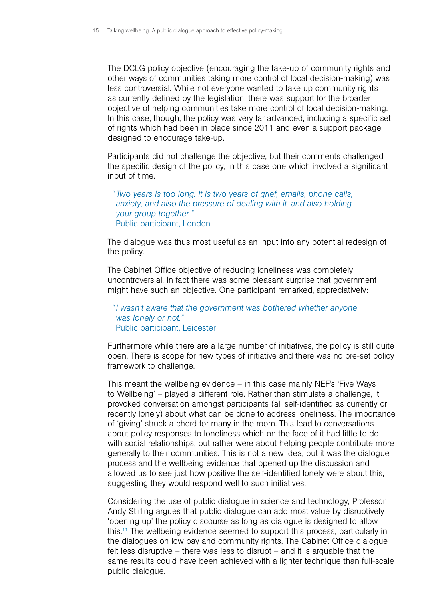The DCLG policy objective (encouraging the take-up of community rights and other ways of communities taking more control of local decision-making) was less controversial. While not everyone wanted to take up community rights as currently defined by the legislation, there was support for the broader objective of helping communities take more control of local decision-making. In this case, though, the policy was very far advanced, including a specific set of rights which had been in place since 2011 and even a support package designed to encourage take-up.

Participants did not challenge the objective, but their comments challenged the specific design of the policy, in this case one which involved a significant input of time.

## *" Two years is too long. It is two years of grief, emails, phone calls, anxiety, and also the pressure of dealing with it, and also holding your group together."* Public participant, London

The dialogue was thus most useful as an input into any potential redesign of the policy.

The Cabinet Office objective of reducing loneliness was completely uncontroversial. In fact there was some pleasant surprise that government might have such an objective. One participant remarked, appreciatively:

### *"I wasn't aware that the government was bothered whether anyone was lonely or not."* Public participant, Leicester

Furthermore while there are a large number of initiatives, the policy is still quite open. There is scope for new types of initiative and there was no pre-set policy framework to challenge.

This meant the wellbeing evidence – in this case mainly NEF's 'Five Ways to Wellbeing' – played a different role. Rather than stimulate a challenge, it provoked conversation amongst participants (all self-identified as currently or recently lonely) about what can be done to address loneliness. The importance of 'giving' struck a chord for many in the room. This lead to conversations about policy responses to loneliness which on the face of it had little to do with social relationships, but rather were about helping people contribute more generally to their communities. This is not a new idea, but it was the dialogue process and the wellbeing evidence that opened up the discussion and allowed us to see just how positive the self-identified lonely were about this, suggesting they would respond well to such initiatives.

Considering the use of public dialogue in science and technology, Professor Andy Stirling argues that public dialogue can add most value by disruptively 'opening up' the policy discourse as long as dialogue is designed to allow this.11 The wellbeing evidence seemed to support this process, particularly in the dialogues on low pay and community rights. The Cabinet Office dialogue felt less disruptive – there was less to disrupt – and it is arguable that the same results could have been achieved with a lighter technique than full-scale public dialogue.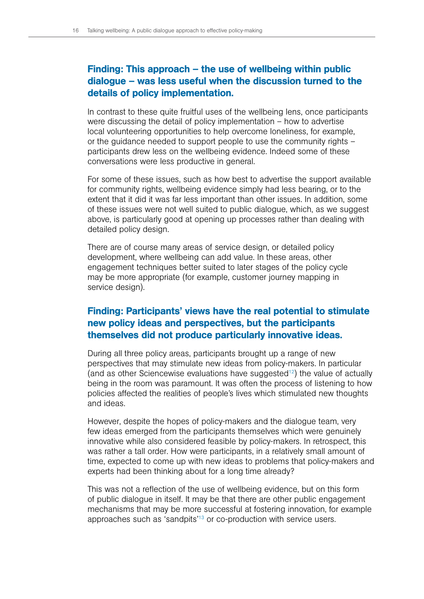# Finding: This approach – the use of wellbeing within public dialogue – was less useful when the discussion turned to the details of policy implementation.

In contrast to these quite fruitful uses of the wellbeing lens, once participants were discussing the detail of policy implementation – how to advertise local volunteering opportunities to help overcome loneliness, for example, or the guidance needed to support people to use the community rights – participants drew less on the wellbeing evidence. Indeed some of these conversations were less productive in general.

For some of these issues, such as how best to advertise the support available for community rights, wellbeing evidence simply had less bearing, or to the extent that it did it was far less important than other issues. In addition, some of these issues were not well suited to public dialogue, which, as we suggest above, is particularly good at opening up processes rather than dealing with detailed policy design.

There are of course many areas of service design, or detailed policy development, where wellbeing can add value. In these areas, other engagement techniques better suited to later stages of the policy cycle may be more appropriate (for example, customer journey mapping in service design).

# Finding: Participants' views have the real potential to stimulate new policy ideas and perspectives, but the participants themselves did not produce particularly innovative ideas.

During all three policy areas, participants brought up a range of new perspectives that may stimulate new ideas from policy-makers. In particular (and as other Sciencewise evaluations have suggested $12$ ) the value of actually being in the room was paramount. It was often the process of listening to how policies affected the realities of people's lives which stimulated new thoughts and ideas.

However, despite the hopes of policy-makers and the dialogue team, very few ideas emerged from the participants themselves which were genuinely innovative while also considered feasible by policy-makers. In retrospect, this was rather a tall order. How were participants, in a relatively small amount of time, expected to come up with new ideas to problems that policy-makers and experts had been thinking about for a long time already?

This was not a reflection of the use of wellbeing evidence, but on this form of public dialogue in itself. It may be that there are other public engagement mechanisms that may be more successful at fostering innovation, for example approaches such as 'sandpits'<sup>13</sup> or co-production with service users.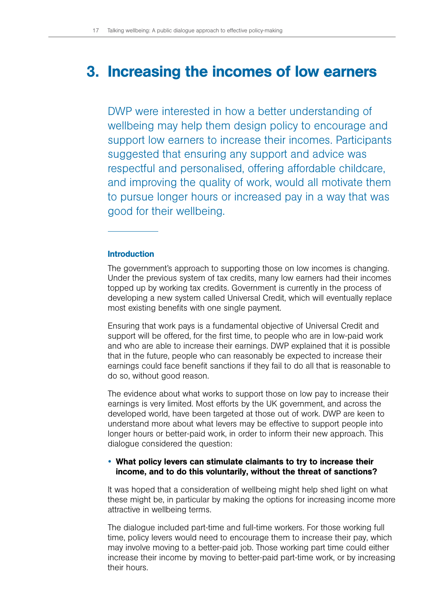# <span id="page-18-0"></span>3. Increasing the incomes of low earners

DWP were interested in how a better understanding of wellbeing may help them design policy to encourage and support low earners to increase their incomes. Participants suggested that ensuring any support and advice was respectful and personalised, offering affordable childcare, and improving the quality of work, would all motivate them to pursue longer hours or increased pay in a way that was good for their wellbeing.

### Introduction

The government's approach to supporting those on low incomes is changing. Under the previous system of tax credits, many low earners had their incomes topped up by working tax credits. Government is currently in the process of developing a new system called Universal Credit, which will eventually replace most existing benefits with one single payment.

Ensuring that work pays is a fundamental objective of Universal Credit and support will be offered, for the first time, to people who are in low-paid work and who are able to increase their earnings. DWP explained that it is possible that in the future, people who can reasonably be expected to increase their earnings could face benefit sanctions if they fail to do all that is reasonable to do so, without good reason.

The evidence about what works to support those on low pay to increase their earnings is very limited. Most efforts by the UK government, and across the developed world, have been targeted at those out of work. DWP are keen to understand more about what levers may be effective to support people into longer hours or better-paid work, in order to inform their new approach. This dialogue considered the question:

# • What policy levers can stimulate claimants to try to increase their income, and to do this voluntarily, without the threat of sanctions?

It was hoped that a consideration of wellbeing might help shed light on what these might be, in particular by making the options for increasing income more attractive in wellbeing terms.

The dialogue included part-time and full-time workers. For those working full time, policy levers would need to encourage them to increase their pay, which may involve moving to a better-paid job. Those working part time could either increase their income by moving to better-paid part-time work, or by increasing their hours.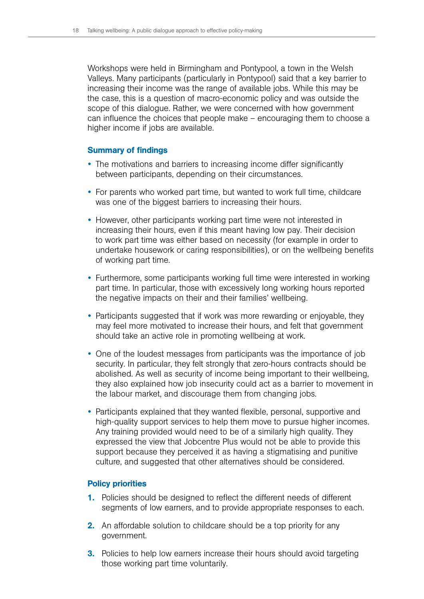Workshops were held in Birmingham and Pontypool, a town in the Welsh Valleys. Many participants (particularly in Pontypool) said that a key barrier to increasing their income was the range of available jobs. While this may be the case, this is a question of macro-economic policy and was outside the scope of this dialogue. Rather, we were concerned with how government can influence the choices that people make – encouraging them to choose a higher income if jobs are available.

### Summary of findings

- The motivations and barriers to increasing income differ significantly between participants, depending on their circumstances.
- For parents who worked part time, but wanted to work full time, childcare was one of the biggest barriers to increasing their hours.
- However, other participants working part time were not interested in increasing their hours, even if this meant having low pay. Their decision to work part time was either based on necessity (for example in order to undertake housework or caring responsibilities), or on the wellbeing benefits of working part time.
- Furthermore, some participants working full time were interested in working part time. In particular, those with excessively long working hours reported the negative impacts on their and their families' wellbeing.
- Participants suggested that if work was more rewarding or enjoyable, they may feel more motivated to increase their hours, and felt that government should take an active role in promoting wellbeing at work.
- One of the loudest messages from participants was the importance of job security. In particular, they felt strongly that zero-hours contracts should be abolished. As well as security of income being important to their wellbeing, they also explained how job insecurity could act as a barrier to movement in the labour market, and discourage them from changing jobs.
- Participants explained that they wanted flexible, personal, supportive and high-quality support services to help them move to pursue higher incomes. Any training provided would need to be of a similarly high quality. They expressed the view that Jobcentre Plus would not be able to provide this support because they perceived it as having a stigmatising and punitive culture, and suggested that other alternatives should be considered.

#### Policy priorities

- 1. Policies should be designed to reflect the different needs of different segments of low earners, and to provide appropriate responses to each.
- 2. An affordable solution to childcare should be a top priority for any government.
- **3.** Policies to help low earners increase their hours should avoid targeting those working part time voluntarily.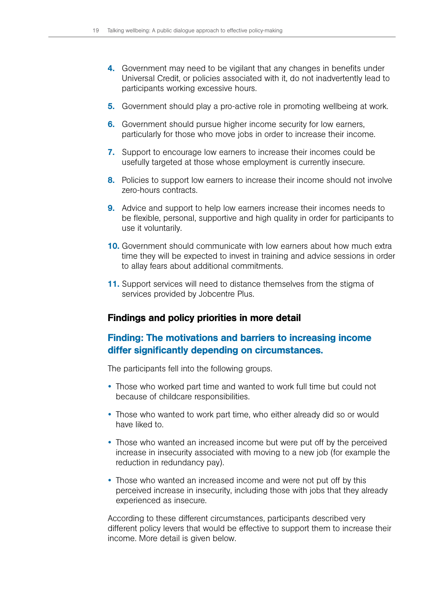- 4. Government may need to be vigilant that any changes in benefits under Universal Credit, or policies associated with it, do not inadvertently lead to participants working excessive hours.
- 5. Government should play a pro-active role in promoting wellbeing at work.
- 6. Government should pursue higher income security for low earners, particularly for those who move jobs in order to increase their income.
- 7. Support to encourage low earners to increase their incomes could be usefully targeted at those whose employment is currently insecure.
- 8. Policies to support low earners to increase their income should not involve zero-hours contracts.
- **9.** Advice and support to help low earners increase their incomes needs to be flexible, personal, supportive and high quality in order for participants to use it voluntarily.
- 10. Government should communicate with low earners about how much extra time they will be expected to invest in training and advice sessions in order to allay fears about additional commitments.
- 11. Support services will need to distance themselves from the stigma of services provided by Jobcentre Plus.

# Findings and policy priorities in more detail

# Finding: The motivations and barriers to increasing income differ significantly depending on circumstances.

The participants fell into the following groups.

- Those who worked part time and wanted to work full time but could not because of childcare responsibilities.
- Those who wanted to work part time, who either already did so or would have liked to.
- Those who wanted an increased income but were put off by the perceived increase in insecurity associated with moving to a new job (for example the reduction in redundancy pay).
- Those who wanted an increased income and were not put off by this perceived increase in insecurity, including those with jobs that they already experienced as insecure.

According to these different circumstances, participants described very different policy levers that would be effective to support them to increase their income. More detail is given below.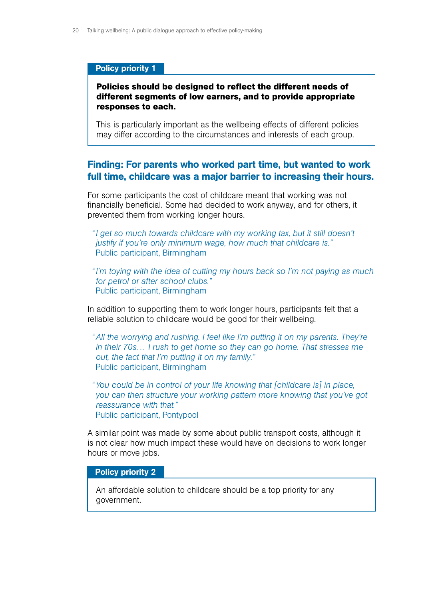### Policy priority 1

# **Policies should be designed to reflect the different needs of different segments of low earners, and to provide appropriate responses to each.**

This is particularly important as the wellbeing effects of different policies may differ according to the circumstances and interests of each group.

# Finding: For parents who worked part time, but wanted to work full time, childcare was a major barrier to increasing their hours.

For some participants the cost of childcare meant that working was not financially beneficial. Some had decided to work anyway, and for others, it prevented them from working longer hours.

- *"I get so much towards childcare with my working tax, but it still doesn't justify if you're only minimum wage, how much that childcare is."* Public participant, Birmingham
- *"I'm toying with the idea of cutting my hours back so I'm not paying as much for petrol or after school clubs."* Public participant, Birmingham

In addition to supporting them to work longer hours, participants felt that a reliable solution to childcare would be good for their wellbeing.

- *"All the worrying and rushing. I feel like I'm putting it on my parents. They're in their 70s… I rush to get home so they can go home. That stresses me out, the fact that I'm putting it on my family."* Public participant, Birmingham
- *"You could be in control of your life knowing that [childcare is] in place, you can then structure your working pattern more knowing that you've got reassurance with that."* Public participant, Pontypool

A similar point was made by some about public transport costs, although it is not clear how much impact these would have on decisions to work longer hours or move jobs.

### Policy priority 2

An affordable solution to childcare should be a top priority for any government.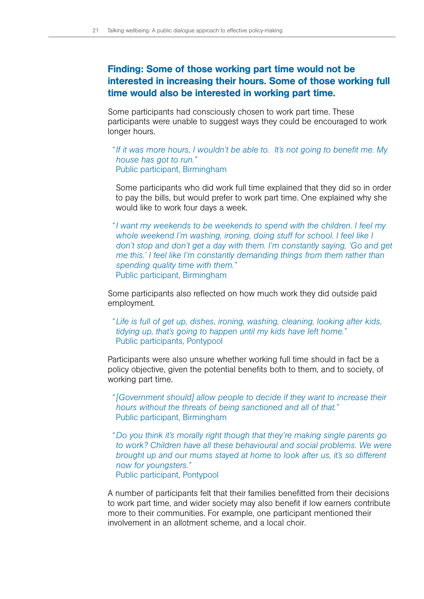# Finding: Some of those working part time would not be interested in increasing their hours. Some of those working full time would also be interested in working part time.

Some participants had consciously chosen to work part time. These participants were unable to suggest ways they could be encouraged to work longer hours.

*"If it was more hours, I wouldn't be able to. It's not going to benefit me. My house has got to run."* Public participant, Birmingham

Some participants who did work full time explained that they did so in order to pay the bills, but would prefer to work part time. One explained why she would like to work four days a week.

*"I want my weekends to be weekends to spend with the children. I feel my whole weekend I'm washing, ironing, doing stuff for school. I feel like I don't stop and don't get a day with them. I'm constantly saying, 'Go and get me this.' I feel like I'm constantly demanding things from them rather than spending quality time with them."* Public participant, Birmingham

Some participants also reflected on how much work they did outside paid employment.

*" Life is full of get up, dishes, ironing, washing, cleaning, looking after kids, tidying up, that's going to happen until my kids have left home."* Public participants, Pontypool

Participants were also unsure whether working full time should in fact be a policy objective, given the potential benefits both to them, and to society, of working part time.

*"[Government should] allow people to decide if they want to increase their hours without the threats of being sanctioned and all of that."* Public participant, Birmingham

*"Do you think it's morally right though that they're making single parents go*  to work? Children have all these behavioural and social problems. We were *brought up and our mums stayed at home to look after us, it's so different now for youngsters."* Public participant, Pontypool

A number of participants felt that their families benefitted from their decisions to work part time, and wider society may also benefit if low earners contribute more to their communities. For example, one participant mentioned their involvement in an allotment scheme, and a local choir.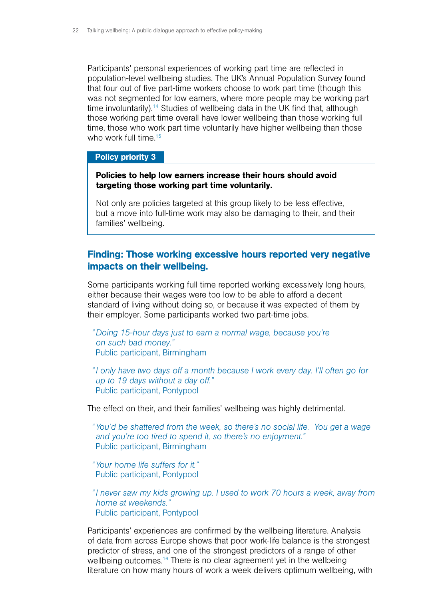Participants' personal experiences of working part time are reflected in population-level wellbeing studies. The UK's Annual Population Survey found that four out of five part-time workers choose to work part time (though this was not segmented for low earners, where more people may be working part time involuntarily).14 Studies of wellbeing data in the UK find that, although those working part time overall have lower wellbeing than those working full time, those who work part time voluntarily have higher wellbeing than those who work full time.<sup>15</sup>

# Policy priority 3

## Policies to help low earners increase their hours should avoid targeting those working part time voluntarily.

Not only are policies targeted at this group likely to be less effective, but a move into full-time work may also be damaging to their, and their families' wellbeing.

# Finding: Those working excessive hours reported very negative impacts on their wellbeing.

Some participants working full time reported working excessively long hours, either because their wages were too low to be able to afford a decent standard of living without doing so, or because it was expected of them by their employer. Some participants worked two part-time jobs.

- *"Doing 15-hour days just to earn a normal wage, because you're on such bad money."* Public participant, Birmingham
- *"I only have two days off a month because I work every day. I'll often go for up to 19 days without a day off."* Public participant, Pontypool

The effect on their, and their families' wellbeing was highly detrimental.

- *"You'd be shattered from the week, so there's no social life. You get a wage and you're too tired to spend it, so there's no enjoyment."* Public participant, Birmingham
- *"Your home life suffers for it."* Public participant, Pontypool
- *"I never saw my kids growing up. I used to work 70 hours a week, away from home at weekends."* Public participant, Pontypool

Participants' experiences are confirmed by the wellbeing literature. Analysis of data from across Europe shows that poor work-life balance is the strongest predictor of stress, and one of the strongest predictors of a range of other wellbeing outcomes.<sup>16</sup> There is no clear agreement yet in the wellbeing literature on how many hours of work a week delivers optimum wellbeing, with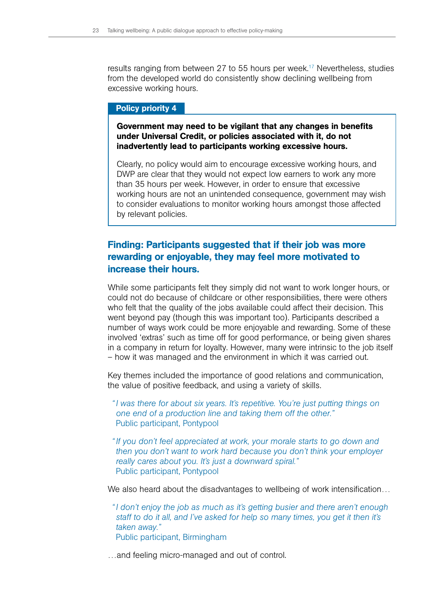results ranging from between 27 to 55 hours per week.<sup>17</sup> Nevertheless, studies from the developed world do consistently show declining wellbeing from excessive working hours.

### Policy priority 4

Government may need to be vigilant that any changes in benefits under Universal Credit, or policies associated with it, do not inadvertently lead to participants working excessive hours.

Clearly, no policy would aim to encourage excessive working hours, and DWP are clear that they would not expect low earners to work any more than 35 hours per week. However, in order to ensure that excessive working hours are not an unintended consequence, government may wish to consider evaluations to monitor working hours amongst those affected by relevant policies.

# Finding: Participants suggested that if their job was more rewarding or enjoyable, they may feel more motivated to increase their hours.

While some participants felt they simply did not want to work longer hours, or could not do because of childcare or other responsibilities, there were others who felt that the quality of the jobs available could affect their decision. This went beyond pay (though this was important too). Participants described a number of ways work could be more enjoyable and rewarding. Some of these involved 'extras' such as time off for good performance, or being given shares in a company in return for loyalty. However, many were intrinsic to the job itself – how it was managed and the environment in which it was carried out.

Key themes included the importance of good relations and communication, the value of positive feedback, and using a variety of skills.

*"I was there for about six years. It's repetitive. You're just putting things on one end of a production line and taking them off the other."* Public participant, Pontypool

*"If you don't feel appreciated at work, your morale starts to go down and then you don't want to work hard because you don't think your employer really cares about you. It's just a downward spiral."* Public participant, Pontypool

We also heard about the disadvantages to wellbeing of work intensification...

*"I don't enjoy the job as much as it's getting busier and there aren't enough staff to do it all, and I've asked for help so many times, you get it then it's taken away."* Public participant, Birmingham

…and feeling micro-managed and out of control.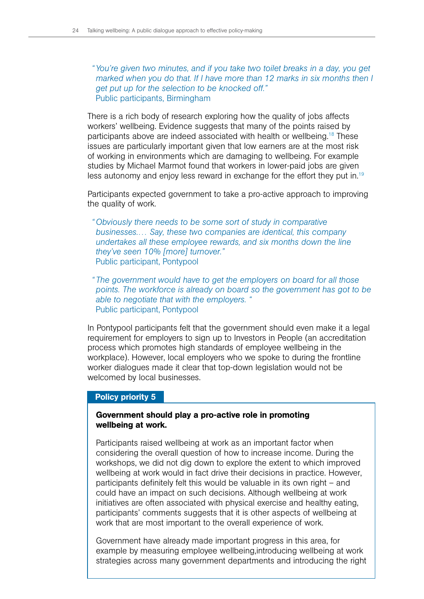*"You're given two minutes, and if you take two toilet breaks in a day, you get marked when you do that. If I have more than 12 marks in six months then I get put up for the selection to be knocked off."* Public participants, Birmingham

There is a rich body of research exploring how the quality of jobs affects workers' wellbeing. Evidence suggests that many of the points raised by participants above are indeed associated with health or wellbeing.<sup>18</sup> These issues are particularly important given that low earners are at the most risk of working in environments which are damaging to wellbeing. For example studies by Michael Marmot found that workers in lower-paid jobs are given less autonomy and enjoy less reward in exchange for the effort they put in.<sup>19</sup>

Participants expected government to take a pro-active approach to improving the quality of work.

*"Obviously there needs to be some sort of study in comparative businesses.… Say, these two companies are identical, this company undertakes all these employee rewards, and six months down the line they've seen 10% [more] turnover."* Public participant, Pontypool

*" The government would have to get the employers on board for all those points. The workforce is already on board so the government has got to be able to negotiate that with the employers. "* Public participant, Pontypool

In Pontypool participants felt that the government should even make it a legal requirement for employers to sign up to Investors in People (an accreditation process which promotes high standards of employee wellbeing in the workplace). However, local employers who we spoke to during the frontline worker dialogues made it clear that top-down legislation would not be welcomed by local businesses.

### Policy priority 5

### Government should play a pro-active role in promoting wellbeing at work.

Participants raised wellbeing at work as an important factor when considering the overall question of how to increase income. During the workshops, we did not dig down to explore the extent to which improved wellbeing at work would in fact drive their decisions in practice. However, participants definitely felt this would be valuable in its own right – and could have an impact on such decisions. Although wellbeing at work initiatives are often associated with physical exercise and healthy eating, participants' comments suggests that it is other aspects of wellbeing at work that are most important to the overall experience of work.

Government have already made important progress in this area, for example by measuring employee wellbeing,introducing wellbeing at work strategies across many government departments and introducing the right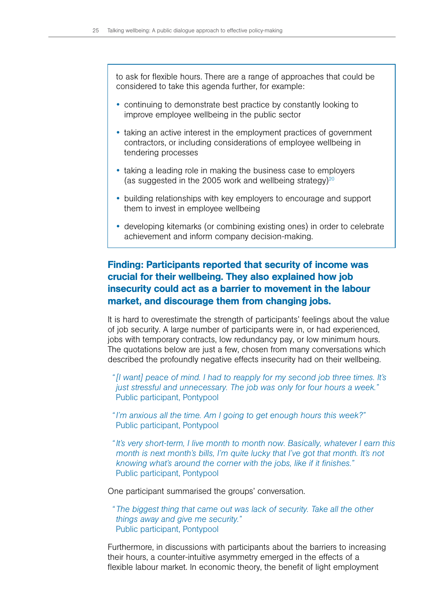to ask for flexible hours. There are a range of approaches that could be considered to take this agenda further, for example:

- continuing to demonstrate best practice by constantly looking to improve employee wellbeing in the public sector
- taking an active interest in the employment practices of government contractors, or including considerations of employee wellbeing in tendering processes
- taking a leading role in making the business case to employers (as suggested in the 2005 work and wellbeing strategy) $20$
- building relationships with key employers to encourage and support them to invest in employee wellbeing
- developing kitemarks (or combining existing ones) in order to celebrate achievement and inform company decision-making.

# Finding: Participants reported that security of income was crucial for their wellbeing. They also explained how job insecurity could act as a barrier to movement in the labour market, and discourage them from changing jobs.

It is hard to overestimate the strength of participants' feelings about the value of job security. A large number of participants were in, or had experienced, jobs with temporary contracts, low redundancy pay, or low minimum hours. The quotations below are just a few, chosen from many conversations which described the profoundly negative effects insecurity had on their wellbeing.

*"[I want] peace of mind. I had to reapply for my second job three times. It's just stressful and unnecessary. The job was only for four hours a week."* Public participant, Pontypool

- *"I'm anxious all the time. Am I going to get enough hours this week?"* Public participant, Pontypool
- *"It's very short-term, I live month to month now. Basically, whatever I earn this month is next month's bills, I'm quite lucky that I've got that month. It's not knowing what's around the corner with the jobs, like if it finishes."* Public participant, Pontypool

One participant summarised the groups' conversation.

*" The biggest thing that came out was lack of security. Take all the other things away and give me security."*  Public participant, Pontypool

Furthermore, in discussions with participants about the barriers to increasing their hours, a counter-intuitive asymmetry emerged in the effects of a flexible labour market. In economic theory, the benefit of light employment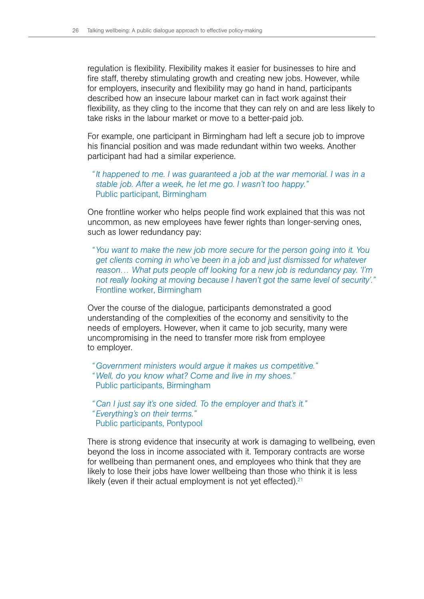regulation is flexibility. Flexibility makes it easier for businesses to hire and fire staff, thereby stimulating growth and creating new jobs. However, while for employers, insecurity and flexibility may go hand in hand, participants described how an insecure labour market can in fact work against their flexibility, as they cling to the income that they can rely on and are less likely to take risks in the labour market or move to a better-paid job.

For example, one participant in Birmingham had left a secure job to improve his financial position and was made redundant within two weeks. Another participant had had a similar experience.

*"It happened to me. I was guaranteed a job at the war memorial. I was in a stable job. After a week, he let me go. I wasn't too happy."* Public participant, Birmingham

One frontline worker who helps people find work explained that this was not uncommon, as new employees have fewer rights than longer-serving ones, such as lower redundancy pay:

*"You want to make the new job more secure for the person going into it. You get clients coming in who've been in a job and just dismissed for whatever reason… What puts people off looking for a new job is redundancy pay. 'I'm not really looking at moving because I haven't got the same level of security'."* Frontline worker, Birmingham

Over the course of the dialogue, participants demonstrated a good understanding of the complexities of the economy and sensitivity to the needs of employers. However, when it came to job security, many were uncompromising in the need to transfer more risk from employee to employer.

*"Government ministers would argue it makes us competitive." "Well, do you know what? Come and live in my shoes."* Public participants, Birmingham

*"Can I just say it's one sided. To the employer and that's it." "Everything's on their terms."* Public participants, Pontypool

There is strong evidence that insecurity at work is damaging to wellbeing, even beyond the loss in income associated with it. Temporary contracts are worse for wellbeing than permanent ones, and employees who think that they are likely to lose their jobs have lower wellbeing than those who think it is less likely (even if their actual employment is not yet effected). $21$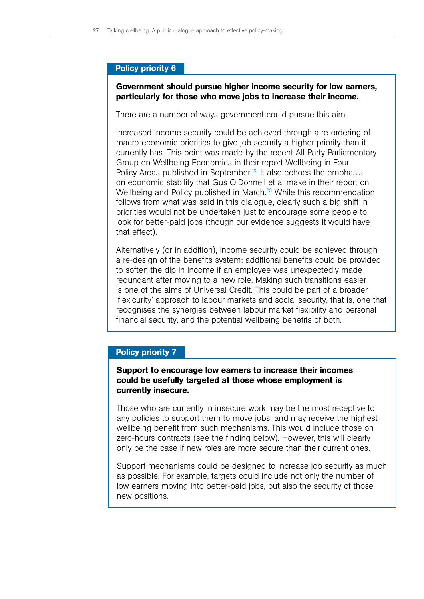### Policy priority 6

### Government should pursue higher income security for low earners, particularly for those who move jobs to increase their income.

There are a number of ways government could pursue this aim.

Increased income security could be achieved through a re-ordering of macro-economic priorities to give job security a higher priority than it currently has. This point was made by the recent All-Party Parliamentary Group on Wellbeing Economics in their report Wellbeing in Four Policy Areas published in September.<sup>22</sup> It also echoes the emphasis on economic stability that Gus O'Donnell et al make in their report on Wellbeing and Policy published in March.<sup>23</sup> While this recommendation follows from what was said in this dialogue, clearly such a big shift in priorities would not be undertaken just to encourage some people to look for better-paid jobs (though our evidence suggests it would have that effect).

Alternatively (or in addition), income security could be achieved through a re-design of the benefits system: additional benefits could be provided to soften the dip in income if an employee was unexpectedly made redundant after moving to a new role. Making such transitions easier is one of the aims of Universal Credit. This could be part of a broader 'flexicurity' approach to labour markets and social security, that is, one that recognises the synergies between labour market flexibility and personal financial security, and the potential wellbeing benefits of both.

### Policy priority 7

## Support to encourage low earners to increase their incomes could be usefully targeted at those whose employment is currently insecure.

Those who are currently in insecure work may be the most receptive to any policies to support them to move jobs, and may receive the highest wellbeing benefit from such mechanisms. This would include those on zero-hours contracts (see the finding below). However, this will clearly only be the case if new roles are more secure than their current ones.

Support mechanisms could be designed to increase job security as much as possible. For example, targets could include not only the number of low earners moving into better-paid jobs, but also the security of those new positions.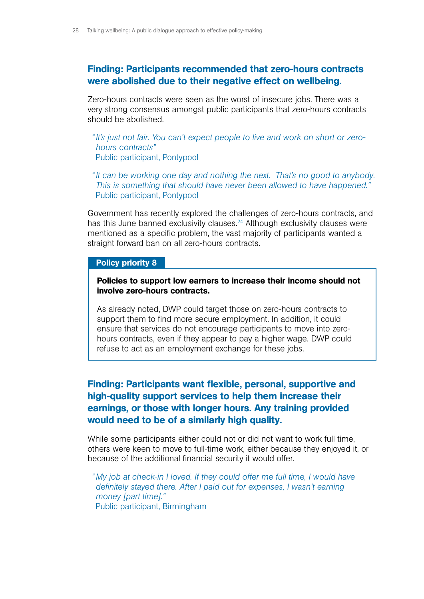# Finding: Participants recommended that zero-hours contracts were abolished due to their negative effect on wellbeing.

Zero-hours contracts were seen as the worst of insecure jobs. There was a very strong consensus amongst public participants that zero-hours contracts should be abolished.

- *"It's just not fair. You can't expect people to live and work on short or zerohours contracts"*  Public participant, Pontypool
- *"It can be working one day and nothing the next. That's no good to anybody. This is something that should have never been allowed to have happened."*  Public participant, Pontypool

Government has recently explored the challenges of zero-hours contracts, and has this June banned exclusivity clauses.<sup>24</sup> Although exclusivity clauses were mentioned as a specific problem, the vast majority of participants wanted a straight forward ban on all zero-hours contracts.

### Policy priority 8

### Policies to support low earners to increase their income should not involve zero-hours contracts.

As already noted, DWP could target those on zero-hours contracts to support them to find more secure employment. In addition, it could ensure that services do not encourage participants to move into zerohours contracts, even if they appear to pay a higher wage. DWP could refuse to act as an employment exchange for these jobs.

# Finding: Participants want flexible, personal, supportive and high-quality support services to help them increase their earnings, or those with longer hours. Any training provided would need to be of a similarly high quality.

While some participants either could not or did not want to work full time, others were keen to move to full-time work, either because they enjoyed it, or because of the additional financial security it would offer.

*" My job at check-in I loved. If they could offer me full time, I would have definitely stayed there. After I paid out for expenses, I wasn't earning money [part time]."*  Public participant, Birmingham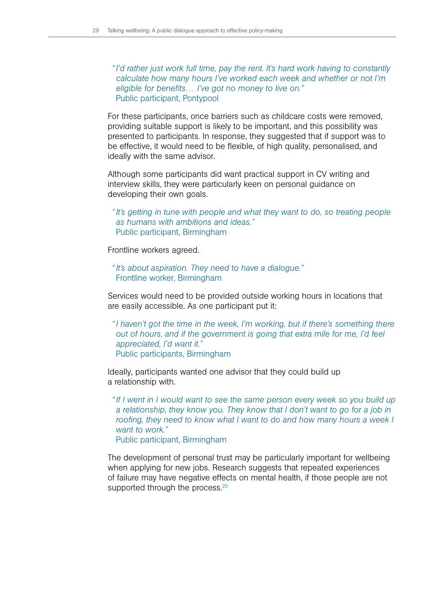*"I'd rather just work full time, pay the rent. It's hard work having to constantly calculate how many hours I've worked each week and whether or not I'm eligible for benefits… I've got no money to live on."* Public participant, Pontypool

For these participants, once barriers such as childcare costs were removed, providing suitable support is likely to be important, and this possibility was presented to participants. In response, they suggested that if support was to be effective, it would need to be flexible, of high quality, personalised, and ideally with the same advisor.

Although some participants did want practical support in CV writing and interview skills, they were particularly keen on personal guidance on developing their own goals.

*"It's getting in tune with people and what they want to do, so treating people as humans with ambitions and ideas."* Public participant, Birmingham

Frontline workers agreed.

*"It's about aspiration. They need to have a dialogue."* Frontline worker, Birmingham

Services would need to be provided outside working hours in locations that are easily accessible. As one participant put it:

*"I haven't got the time in the week, I'm working, but if there's something there out of hours, and if the government is going that extra mile for me, I'd feel appreciated, I'd want it."* Public participants, Birmingham

Ideally, participants wanted one advisor that they could build up a relationship with.

*"If I went in I would want to see the same person every week so you build up a relationship, they know you. They know that I don't want to go for a job in roofing, they need to know what I want to do and how many hours a week I want to work."*

Public participant, Birmingham

The development of personal trust may be particularly important for wellbeing when applying for new jobs. Research suggests that repeated experiences of failure may have negative effects on mental health, if those people are not supported through the process.<sup>25</sup>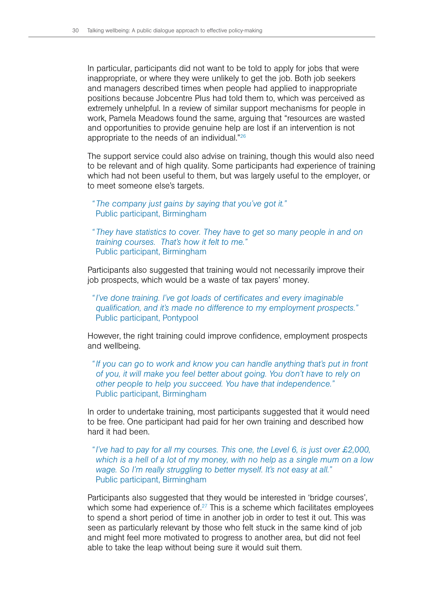In particular, participants did not want to be told to apply for jobs that were inappropriate, or where they were unlikely to get the job. Both job seekers and managers described times when people had applied to inappropriate positions because Jobcentre Plus had told them to, which was perceived as extremely unhelpful. In a review of similar support mechanisms for people in work, Pamela Meadows found the same, arguing that "resources are wasted and opportunities to provide genuine help are lost if an intervention is not appropriate to the needs of an individual."26

The support service could also advise on training, though this would also need to be relevant and of high quality. Some participants had experience of training which had not been useful to them, but was largely useful to the employer, or to meet someone else's targets.

*" The company just gains by saying that you've got it."* Public participant, Birmingham

*" They have statistics to cover. They have to get so many people in and on training courses. That's how it felt to me."* Public participant, Birmingham

Participants also suggested that training would not necessarily improve their job prospects, which would be a waste of tax payers' money.

*"I've done training. I've got loads of certificates and every imaginable qualification, and it's made no difference to my employment prospects."* Public participant, Pontypool

However, the right training could improve confidence, employment prospects and wellbeing.

*"If you can go to work and know you can handle anything that's put in front of you, it will make you feel better about going. You don't have to rely on other people to help you succeed. You have that independence."* Public participant, Birmingham

In order to undertake training, most participants suggested that it would need to be free. One participant had paid for her own training and described how hard it had been.

*"I've had to pay for all my courses. This one, the Level 6, is just over £2,000, which is a hell of a lot of my money, with no help as a single mum on a low wage. So I'm really struggling to better myself. It's not easy at all."* Public participant, Birmingham

Participants also suggested that they would be interested in 'bridge courses', which some had experience of. $27$  This is a scheme which facilitates employees to spend a short period of time in another job in order to test it out. This was seen as particularly relevant by those who felt stuck in the same kind of job and might feel more motivated to progress to another area, but did not feel able to take the leap without being sure it would suit them.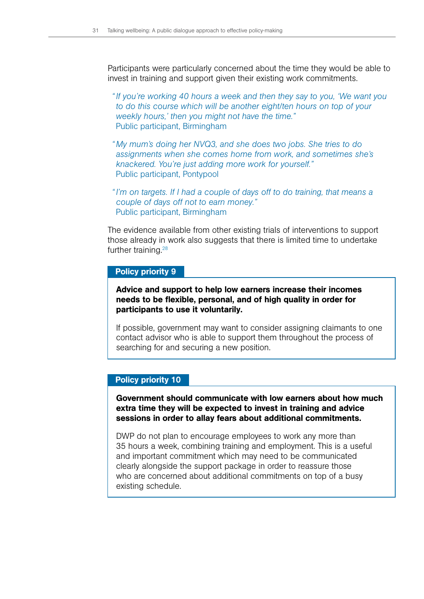Participants were particularly concerned about the time they would be able to invest in training and support given their existing work commitments.

*"If you're working 40 hours a week and then they say to you, 'We want you to do this course which will be another eight/ten hours on top of your weekly hours,' then you might not have the time."* Public participant, Birmingham

- *" My mum's doing her NVQ3, and she does two jobs. She tries to do assignments when she comes home from work, and sometimes she's knackered. You're just adding more work for yourself."*  Public participant, Pontypool
- *"I'm on targets. If I had a couple of days off to do training, that means a couple of days off not to earn money."* Public participant, Birmingham

The evidence available from other existing trials of interventions to support those already in work also suggests that there is limited time to undertake further training.28

#### Policy priority 9

## Advice and support to help low earners increase their incomes needs to be flexible, personal, and of high quality in order for participants to use it voluntarily.

If possible, government may want to consider assigning claimants to one contact advisor who is able to support them throughout the process of searching for and securing a new position.

#### Policy priority 10

## Government should communicate with low earners about how much extra time they will be expected to invest in training and advice sessions in order to allay fears about additional commitments.

DWP do not plan to encourage employees to work any more than 35 hours a week, combining training and employment. This is a useful and important commitment which may need to be communicated clearly alongside the support package in order to reassure those who are concerned about additional commitments on top of a busy existing schedule.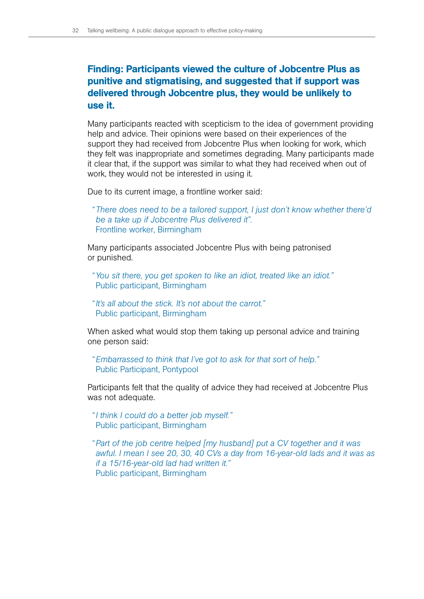# Finding: Participants viewed the culture of Jobcentre Plus as punitive and stigmatising, and suggested that if support was delivered through Jobcentre plus, they would be unlikely to use it.

Many participants reacted with scepticism to the idea of government providing help and advice. Their opinions were based on their experiences of the support they had received from Jobcentre Plus when looking for work, which they felt was inappropriate and sometimes degrading. Many participants made it clear that, if the support was similar to what they had received when out of work, they would not be interested in using it.

Due to its current image, a frontline worker said:

*" There does need to be a tailored support, I just don't know whether there'd be a take up if Jobcentre Plus delivered it".*  Frontline worker, Birmingham

Many participants associated Jobcentre Plus with being patronised or punished.

*"You sit there, you get spoken to like an idiot, treated like an idiot."* Public participant, Birmingham

*"It's all about the stick. It's not about the carrot."* Public participant, Birmingham

When asked what would stop them taking up personal advice and training one person said:

*"Embarrassed to think that I've got to ask for that sort of help."* Public Participant, Pontypool

Participants felt that the quality of advice they had received at Jobcentre Plus was not adequate.

*"I think I could do a better job myself."* Public participant, Birmingham

*"Part of the job centre helped [my husband] put a CV together and it was awful. I mean I see 20, 30, 40 CVs a day from 16-year-old lads and it was as if a 15/16-year-old lad had written it."* Public participant, Birmingham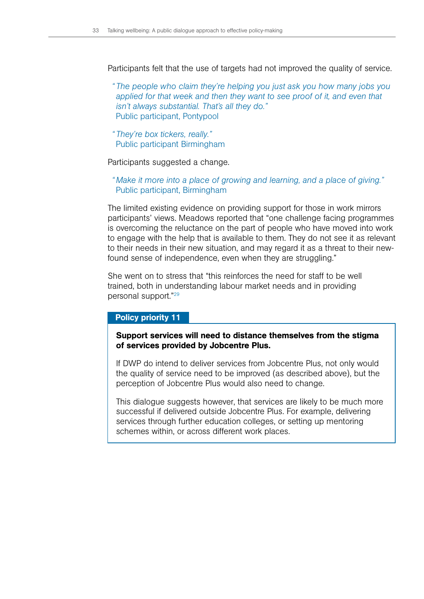Participants felt that the use of targets had not improved the quality of service.

*" The people who claim they're helping you just ask you how many jobs you applied for that week and then they want to see proof of it, and even that isn't always substantial. That's all they do."* Public participant, Pontypool

*" They're box tickers, really."* Public participant Birmingham

Participants suggested a change.

*" Make it more into a place of growing and learning, and a place of giving."* Public participant, Birmingham

The limited existing evidence on providing support for those in work mirrors participants' views. Meadows reported that "one challenge facing programmes is overcoming the reluctance on the part of people who have moved into work to engage with the help that is available to them. They do not see it as relevant to their needs in their new situation, and may regard it as a threat to their newfound sense of independence, even when they are struggling."

She went on to stress that "this reinforces the need for staff to be well trained, both in understanding labour market needs and in providing personal support."29

#### Policy priority 11

### Support services will need to distance themselves from the stigma of services provided by Jobcentre Plus.

If DWP do intend to deliver services from Jobcentre Plus, not only would the quality of service need to be improved (as described above), but the perception of Jobcentre Plus would also need to change.

This dialogue suggests however, that services are likely to be much more successful if delivered outside Jobcentre Plus. For example, delivering services through further education colleges, or setting up mentoring schemes within, or across different work places.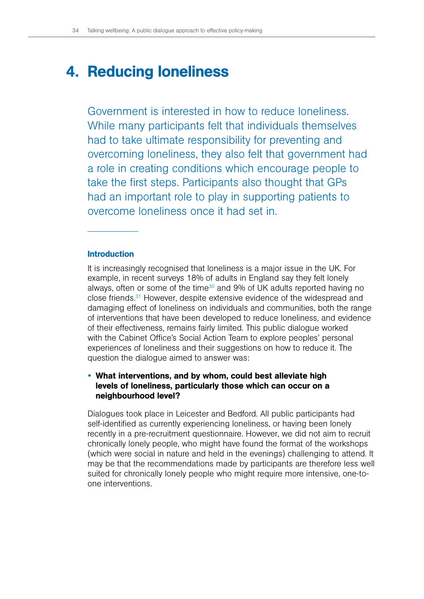# <span id="page-35-0"></span>**4. Reducing loneliness**

Government is interested in how to reduce loneliness. While many participants felt that individuals themselves had to take ultimate responsibility for preventing and overcoming loneliness, they also felt that government had a role in creating conditions which encourage people to take the first steps. Participants also thought that GPs had an important role to play in supporting patients to overcome loneliness once it had set in.

### **Introduction**

It is increasingly recognised that loneliness is a major issue in the UK. For example, in recent surveys 18% of adults in England say they felt lonely always, often or some of the time<sup>30</sup> and 9% of UK adults reported having no close friends.31 However, despite extensive evidence of the widespread and damaging effect of loneliness on individuals and communities, both the range of interventions that have been developed to reduce loneliness, and evidence of their effectiveness, remains fairly limited. This public dialogue worked with the Cabinet Office's Social Action Team to explore peoples' personal experiences of loneliness and their suggestions on how to reduce it. The question the dialogue aimed to answer was:

# • What interventions, and by whom, could best alleviate high levels of loneliness, particularly those which can occur on a neighbourhood level?

Dialogues took place in Leicester and Bedford. All public participants had self-identified as currently experiencing loneliness, or having been lonely recently in a pre-recruitment questionnaire. However, we did not aim to recruit chronically lonely people, who might have found the format of the workshops (which were social in nature and held in the evenings) challenging to attend. It may be that the recommendations made by participants are therefore less well suited for chronically lonely people who might require more intensive, one-toone interventions.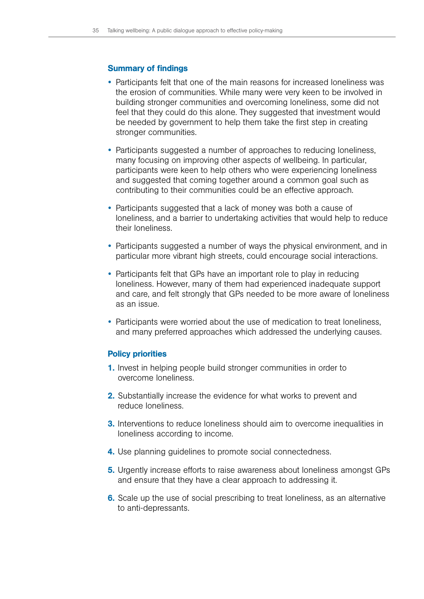## Summary of findings

- Participants felt that one of the main reasons for increased loneliness was the erosion of communities. While many were very keen to be involved in building stronger communities and overcoming loneliness, some did not feel that they could do this alone. They suggested that investment would be needed by government to help them take the first step in creating stronger communities.
- Participants suggested a number of approaches to reducing loneliness, many focusing on improving other aspects of wellbeing. In particular, participants were keen to help others who were experiencing loneliness and suggested that coming together around a common goal such as contributing to their communities could be an effective approach.
- Participants suggested that a lack of money was both a cause of loneliness, and a barrier to undertaking activities that would help to reduce their loneliness.
- Participants suggested a number of ways the physical environment, and in particular more vibrant high streets, could encourage social interactions.
- Participants felt that GPs have an important role to play in reducing loneliness. However, many of them had experienced inadequate support and care, and felt strongly that GPs needed to be more aware of loneliness as an issue.
- Participants were worried about the use of medication to treat loneliness, and many preferred approaches which addressed the underlying causes.

## Policy priorities

- 1. Invest in helping people build stronger communities in order to overcome loneliness.
- 2. Substantially increase the evidence for what works to prevent and reduce loneliness.
- **3.** Interventions to reduce loneliness should aim to overcome inequalities in loneliness according to income.
- 4. Use planning guidelines to promote social connectedness.
- 5. Urgently increase efforts to raise awareness about loneliness amongst GPs and ensure that they have a clear approach to addressing it.
- 6. Scale up the use of social prescribing to treat loneliness, as an alternative to anti-depressants.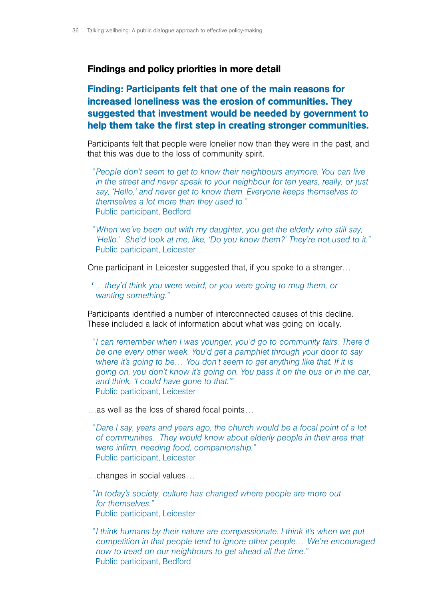## Findings and policy priorities in more detail

# Finding: Participants felt that one of the main reasons for increased loneliness was the erosion of communities. They suggested that investment would be needed by government to help them take the first step in creating stronger communities.

Participants felt that people were lonelier now than they were in the past, and that this was due to the loss of community spirit.

- *"People don't seem to get to know their neighbours anymore. You can live in the street and never speak to your neighbour for ten years, really, or just say, 'Hello,' and never get to know them. Everyone keeps themselves to themselves a lot more than they used to."*  Public participant, Bedford
- *"When we've been out with my daughter, you get the elderly who still say, 'Hello.' She'd look at me, like, 'Do you know them?' They're not used to it."* Public participant, Leicester

One participant in Leicester suggested that, if you spoke to a stranger…

' *…they'd think you were weird, or you were going to mug them, or wanting something."* 

Participants identified a number of interconnected causes of this decline. These included a lack of information about what was going on locally.

*"I can remember when I was younger, you'd go to community fairs. There'd be one every other week. You'd get a pamphlet through your door to say where it's going to be… You don't seem to get anything like that. If it is going on, you don't know it's going on. You pass it on the bus or in the car, and think, 'I could have gone to that.'"* Public participant, Leicester

- …as well as the loss of shared focal points…
- *"Dare I say, years and years ago, the church would be a focal point of a lot of communities. They would know about elderly people in their area that were infirm, needing food, companionship."* Public participant, Leicester

…changes in social values…

*"In today's society, culture has changed where people are more out for themselves."* Public participant, Leicester

*"I think humans by their nature are compassionate. I think it's when we put competition in that people tend to ignore other people… We're encouraged now to tread on our neighbours to get ahead all the time."* Public participant, Bedford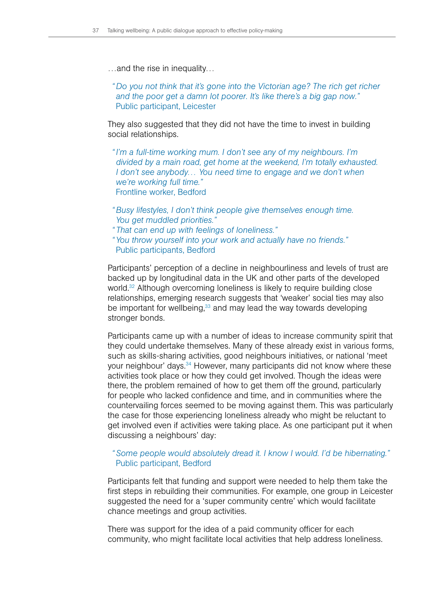- …and the rise in inequality…
	- *"Do you not think that it's gone into the Victorian age? The rich get richer and the poor get a damn lot poorer. It's like there's a big gap now."* Public participant, Leicester

They also suggested that they did not have the time to invest in building social relationships.

- *"I'm a full-time working mum. I don't see any of my neighbours. I'm divided by a main road, get home at the weekend, I'm totally exhausted. I don't see anybody... You need time to engage and we don't when we're working full time."* Frontline worker, Bedford
- *"Busy lifestyles, I don't think people give themselves enough time. You get muddled priorities."*
- *" That can end up with feelings of loneliness."*
- *"You throw yourself into your work and actually have no friends."*  Public participants, Bedford

Participants' perception of a decline in neighbourliness and levels of trust are backed up by longitudinal data in the UK and other parts of the developed world.32 Although overcoming loneliness is likely to require building close relationships, emerging research suggests that 'weaker' social ties may also be important for wellbeing,<sup>33</sup> and may lead the way towards developing stronger bonds.

Participants came up with a number of ideas to increase community spirit that they could undertake themselves. Many of these already exist in various forms, such as skills-sharing activities, good neighbours initiatives, or national 'meet your neighbour' days.34 However, many participants did not know where these activities took place or how they could get involved. Though the ideas were there, the problem remained of how to get them off the ground, particularly for people who lacked confidence and time, and in communities where the countervailing forces seemed to be moving against them. This was particularly the case for those experiencing loneliness already who might be reluctant to get involved even if activities were taking place. As one participant put it when discussing a neighbours' day:

## *"Some people would absolutely dread it. I know I would. I'd be hibernating."* Public participant, Bedford

Participants felt that funding and support were needed to help them take the first steps in rebuilding their communities. For example, one group in Leicester suggested the need for a 'super community centre' which would facilitate chance meetings and group activities.

There was support for the idea of a paid community officer for each community, who might facilitate local activities that help address loneliness.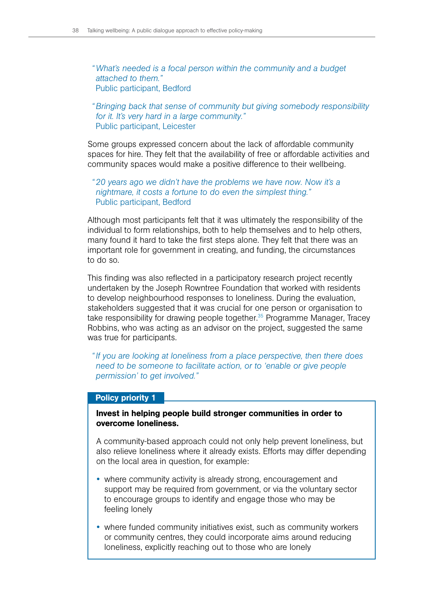*"What's needed is a focal person within the community and a budget attached to them."*  Public participant, Bedford

*"Bringing back that sense of community but giving somebody responsibility for it. It's very hard in a large community."* Public participant, Leicester

Some groups expressed concern about the lack of affordable community spaces for hire. They felt that the availability of free or affordable activities and community spaces would make a positive difference to their wellbeing.

*"20 years ago we didn't have the problems we have now. Now it's a nightmare, it costs a fortune to do even the simplest thing."*  Public participant, Bedford

Although most participants felt that it was ultimately the responsibility of the individual to form relationships, both to help themselves and to help others, many found it hard to take the first steps alone. They felt that there was an important role for government in creating, and funding, the circumstances to do so.

This finding was also reflected in a participatory research project recently undertaken by the Joseph Rowntree Foundation that worked with residents to develop neighbourhood responses to loneliness. During the evaluation, stakeholders suggested that it was crucial for one person or organisation to take responsibility for drawing people together.<sup>35</sup> Programme Manager, Tracey Robbins, who was acting as an advisor on the project, suggested the same was true for participants.

*"If you are looking at loneliness from a place perspective, then there does need to be someone to facilitate action, or to 'enable or give people permission' to get involved."*

#### Policy priority 1

Invest in helping people build stronger communities in order to overcome loneliness.

A community-based approach could not only help prevent loneliness, but also relieve loneliness where it already exists. Efforts may differ depending on the local area in question, for example:

- where community activity is already strong, encouragement and support may be required from government, or via the voluntary sector to encourage groups to identify and engage those who may be feeling lonely
- where funded community initiatives exist, such as community workers or community centres, they could incorporate aims around reducing loneliness, explicitly reaching out to those who are lonely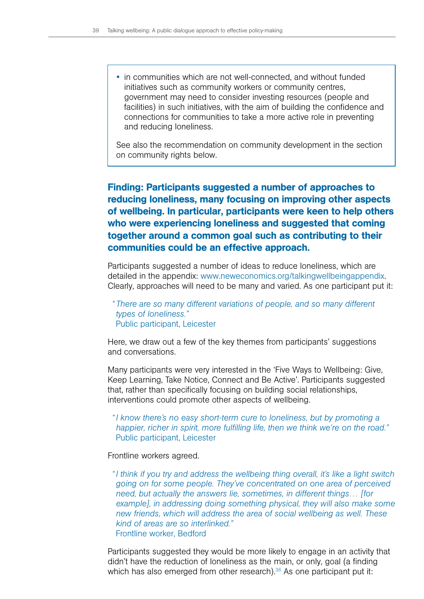• in communities which are not well-connected, and without funded initiatives such as community workers or community centres, government may need to consider investing resources (people and facilities) in such initiatives, with the aim of building the confidence and connections for communities to take a more active role in preventing and reducing loneliness.

See also the recommendation on community development in the section on community rights below.

# Finding: Participants suggested a number of approaches to reducing loneliness, many focusing on improving other aspects of wellbeing. In particular, participants were keen to help others who were experiencing loneliness and suggested that coming together around a common goal such as contributing to their communities could be an effective approach.

Participants suggested a number of ideas to reduce loneliness, which are detailed in the appendix: [www.neweconomics.org/talkingwellbeingappendix.](www.neweconomics.org/talkingwellbeingappendix) Clearly, approaches will need to be many and varied. As one participant put it:

*" There are so many different variations of people, and so many different types of loneliness."*  Public participant, Leicester

Here, we draw out a few of the key themes from participants' suggestions and conversations.

Many participants were very interested in the 'Five Ways to Wellbeing: Give, Keep Learning, Take Notice, Connect and Be Active'. Participants suggested that, rather than specifically focusing on building social relationships, interventions could promote other aspects of wellbeing.

*"I know there's no easy short-term cure to loneliness, but by promoting a happier, richer in spirit, more fulfilling life, then we think we're on the road."* Public participant, Leicester

Frontline workers agreed.

*"I think if you try and address the wellbeing thing overall, it's like a light switch going on for some people. They've concentrated on one area of perceived need, but actually the answers lie, sometimes, in different things… [for example], in addressing doing something physical, they will also make some new friends, which will address the area of social wellbeing as well. These kind of areas are so interlinked."* Frontline worker, Bedford

Participants suggested they would be more likely to engage in an activity that didn't have the reduction of loneliness as the main, or only, goal (a finding which has also emerged from other research).<sup>36</sup> As one participant put it: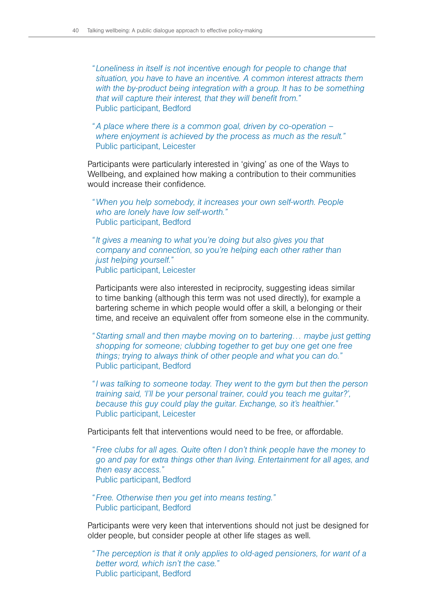*" Loneliness in itself is not incentive enough for people to change that situation, you have to have an incentive. A common interest attracts them*  with the by-product being integration with a group. It has to be something *that will capture their interest, that they will benefit from."* Public participant, Bedford

*"A place where there is a common goal, driven by co-operation – where enjoyment is achieved by the process as much as the result."*  Public participant, Leicester

Participants were particularly interested in 'giving' as one of the Ways to Wellbeing, and explained how making a contribution to their communities would increase their confidence.

- *"When you help somebody, it increases your own self-worth. People who are lonely have low self-worth."* Public participant, Bedford
- *"It gives a meaning to what you're doing but also gives you that company and connection, so you're helping each other rather than just helping yourself."* Public participant, Leicester

Participants were also interested in reciprocity, suggesting ideas similar to time banking (although this term was not used directly), for example a bartering scheme in which people would offer a skill, a belonging or their time, and receive an equivalent offer from someone else in the community.

- *"Starting small and then maybe moving on to bartering… maybe just getting shopping for someone; clubbing together to get buy one get one free things; trying to always think of other people and what you can do."* Public participant, Bedford
- *"I was talking to someone today. They went to the gym but then the person training said, 'I'll be your personal trainer, could you teach me guitar?', because this guy could play the guitar. Exchange, so it's healthier."* Public participant, Leicester

Participants felt that interventions would need to be free, or affordable.

- *" Free clubs for all ages. Quite often I don't think people have the money to go and pay for extra things other than living. Entertainment for all ages, and then easy access."* Public participant, Bedford
- *" Free. Otherwise then you get into means testing."* Public participant, Bedford

Participants were very keen that interventions should not just be designed for older people, but consider people at other life stages as well.

*" The perception is that it only applies to old-aged pensioners, for want of a better word, which isn't the case."* Public participant, Bedford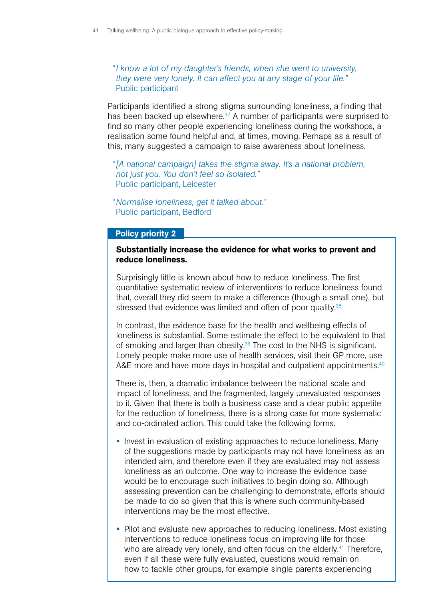# *"I know a lot of my daughter's friends, when she went to university, they were very lonely. It can affect you at any stage of your life."* Public participant

Participants identified a strong stigma surrounding loneliness, a finding that has been backed up elsewhere. $37$  A number of participants were surprised to find so many other people experiencing loneliness during the workshops, a realisation some found helpful and, at times, moving. Perhaps as a result of this, many suggested a campaign to raise awareness about loneliness.

- *"[A national campaign] takes the stigma away. It's a national problem, not just you. You don't feel so isolated."* Public participant, Leicester
- *"Normalise loneliness, get it talked about."* Public participant, Bedford

## Policy priority 2

## Substantially increase the evidence for what works to prevent and reduce loneliness.

Surprisingly little is known about how to reduce loneliness. The first quantitative systematic review of interventions to reduce loneliness found that, overall they did seem to make a difference (though a small one), but stressed that evidence was limited and often of poor quality.<sup>38</sup>

In contrast, the evidence base for the health and wellbeing effects of loneliness is substantial. Some estimate the effect to be equivalent to that of smoking and larger than obesity.<sup>39</sup> The cost to the NHS is significant. Lonely people make more use of health services, visit their GP more, use A&E more and have more days in hospital and outpatient appointments.<sup>40</sup>

There is, then, a dramatic imbalance between the national scale and impact of loneliness, and the fragmented, largely unevaluated responses to it. Given that there is both a business case and a clear public appetite for the reduction of loneliness, there is a strong case for more systematic and co-ordinated action. This could take the following forms.

- Invest in evaluation of existing approaches to reduce loneliness. Many of the suggestions made by participants may not have loneliness as an intended aim, and therefore even if they are evaluated may not assess loneliness as an outcome. One way to increase the evidence base would be to encourage such initiatives to begin doing so. Although assessing prevention can be challenging to demonstrate, efforts should be made to do so given that this is where such community-based interventions may be the most effective.
- Pilot and evaluate new approaches to reducing loneliness. Most existing interventions to reduce loneliness focus on improving life for those who are already very lonely, and often focus on the elderly.<sup>41</sup> Therefore, even if all these were fully evaluated, questions would remain on how to tackle other groups, for example single parents experiencing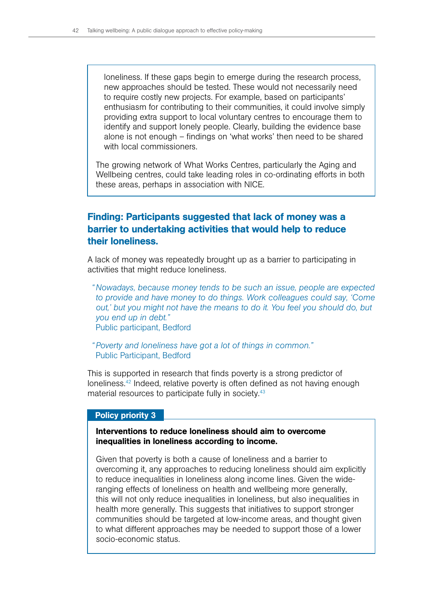loneliness. If these gaps begin to emerge during the research process, new approaches should be tested. These would not necessarily need to require costly new projects. For example, based on participants' enthusiasm for contributing to their communities, it could involve simply providing extra support to local voluntary centres to encourage them to identify and support lonely people. Clearly, building the evidence base alone is not enough – findings on 'what works' then need to be shared with local commissioners.

The growing network of What Works Centres, particularly the Aging and Wellbeing centres, could take leading roles in co-ordinating efforts in both these areas, perhaps in association with NICE.

# Finding: Participants suggested that lack of money was a barrier to undertaking activities that would help to reduce their loneliness.

A lack of money was repeatedly brought up as a barrier to participating in activities that might reduce loneliness.

*"Nowadays, because money tends to be such an issue, people are expected to provide and have money to do things. Work colleagues could say, 'Come out,' but you might not have the means to do it. You feel you should do, but you end up in debt."* Public participant, Bedford

*"Poverty and loneliness have got a lot of things in common."*  Public Participant, Bedford

This is supported in research that finds poverty is a strong predictor of loneliness.<sup>42</sup> Indeed, relative poverty is often defined as not having enough material resources to participate fully in society.<sup>43</sup>

#### Policy priority 3

## Interventions to reduce loneliness should aim to overcome inequalities in loneliness according to income.

Given that poverty is both a cause of loneliness and a barrier to overcoming it, any approaches to reducing loneliness should aim explicitly to reduce inequalities in loneliness along income lines. Given the wideranging effects of loneliness on health and wellbeing more generally, this will not only reduce inequalities in loneliness, but also inequalities in health more generally. This suggests that initiatives to support stronger communities should be targeted at low-income areas, and thought given to what different approaches may be needed to support those of a lower socio-economic status.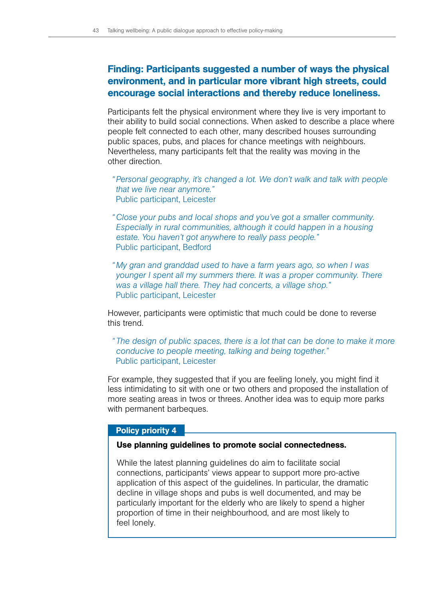# Finding: Participants suggested a number of ways the physical environment, and in particular more vibrant high streets, could encourage social interactions and thereby reduce loneliness.

Participants felt the physical environment where they live is very important to their ability to build social connections. When asked to describe a place where people felt connected to each other, many described houses surrounding public spaces, pubs, and places for chance meetings with neighbours. Nevertheless, many participants felt that the reality was moving in the other direction.

- *"Personal geography, it's changed a lot. We don't walk and talk with people that we live near anymore."* Public participant, Leicester
- *"Close your pubs and local shops and you've got a smaller community. Especially in rural communities, although it could happen in a housing estate. You haven't got anywhere to really pass people."* Public participant, Bedford
- *" My gran and granddad used to have a farm years ago, so when I was younger I spent all my summers there. It was a proper community. There was a village hall there. They had concerts, a village shop."*  Public participant, Leicester

However, participants were optimistic that much could be done to reverse this trend.

*" The design of public spaces, there is a lot that can be done to make it more conducive to people meeting, talking and being together."* Public participant, Leicester

For example, they suggested that if you are feeling lonely, you might find it less intimidating to sit with one or two others and proposed the installation of more seating areas in twos or threes. Another idea was to equip more parks with permanent barbeques.

#### Policy priority 4

#### Use planning guidelines to promote social connectedness.

While the latest planning guidelines do aim to facilitate social connections, participants' views appear to support more pro-active application of this aspect of the guidelines. In particular, the dramatic decline in village shops and pubs is well documented, and may be particularly important for the elderly who are likely to spend a higher proportion of time in their neighbourhood, and are most likely to feel lonely.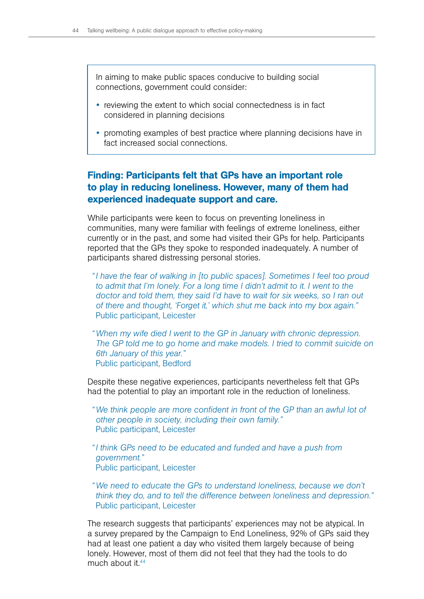In aiming to make public spaces conducive to building social connections, government could consider:

- reviewing the extent to which social connectedness is in fact considered in planning decisions
- promoting examples of best practice where planning decisions have in fact increased social connections.

# Finding: Participants felt that GPs have an important role to play in reducing loneliness. However, many of them had experienced inadequate support and care.

While participants were keen to focus on preventing loneliness in communities, many were familiar with feelings of extreme loneliness, either currently or in the past, and some had visited their GPs for help. Participants reported that the GPs they spoke to responded inadequately. A number of participants shared distressing personal stories.

- *"I have the fear of walking in [to public spaces]. Sometimes I feel too proud to admit that I'm lonely. For a long time I didn't admit to it. I went to the doctor and told them, they said I'd have to wait for six weeks, so I ran out of there and thought, 'Forget it,' which shut me back into my box again."* Public participant, Leicester
- *"When my wife died I went to the GP in January with chronic depression. The GP told me to go home and make models. I tried to commit suicide on 6th January of this year."* Public participant, Bedford

Despite these negative experiences, participants nevertheless felt that GPs had the potential to play an important role in the reduction of loneliness.

- *"We think people are more confident in front of the GP than an awful lot of other people in society, including their own family."* Public participant, Leicester
- *"I think GPs need to be educated and funded and have a push from government."* Public participant, Leicester
- *"We need to educate the GPs to understand loneliness, because we don't think they do, and to tell the difference between loneliness and depression."* Public participant, Leicester

The research suggests that participants' experiences may not be atypical. In a survey prepared by the Campaign to End Loneliness, 92% of GPs said they had at least one patient a day who visited them largely because of being lonely. However, most of them did not feel that they had the tools to do much about it.<sup>44</sup>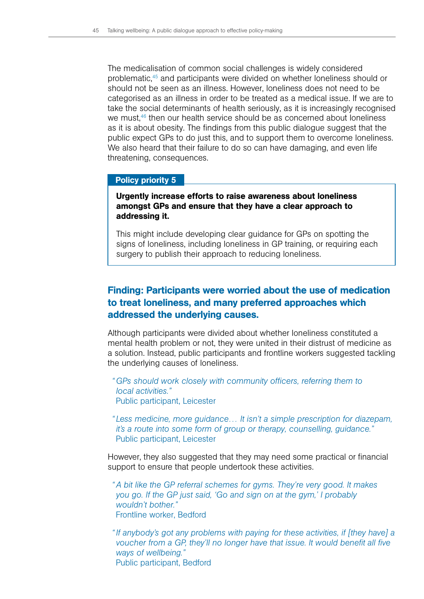The medicalisation of common social challenges is widely considered problematic,45 and participants were divided on whether loneliness should or should not be seen as an illness. However, loneliness does not need to be categorised as an illness in order to be treated as a medical issue. If we are to take the social determinants of health seriously, as it is increasingly recognised we must,<sup>46</sup> then our health service should be as concerned about loneliness as it is about obesity. The findings from this public dialogue suggest that the public expect GPs to do just this, and to support them to overcome loneliness. We also heard that their failure to do so can have damaging, and even life threatening, consequences.

#### Policy priority 5

## Urgently increase efforts to raise awareness about loneliness amongst GPs and ensure that they have a clear approach to addressing it.

This might include developing clear guidance for GPs on spotting the signs of loneliness, including loneliness in GP training, or requiring each surgery to publish their approach to reducing loneliness.

# Finding: Participants were worried about the use of medication to treat loneliness, and many preferred approaches which addressed the underlying causes.

Although participants were divided about whether loneliness constituted a mental health problem or not, they were united in their distrust of medicine as a solution. Instead, public participants and frontline workers suggested tackling the underlying causes of loneliness.

*"GPs should work closely with community officers, referring them to local activities."* Public participant, Leicester

*" Less medicine, more guidance… It isn't a simple prescription for diazepam, it's a route into some form of group or therapy, counselling, guidance."* Public participant, Leicester

However, they also suggested that they may need some practical or financial support to ensure that people undertook these activities.

*"A bit like the GP referral schemes for gyms. They're very good. It makes you go. If the GP just said, 'Go and sign on at the gym,' I probably wouldn't bother."* Frontline worker, Bedford

*"If anybody's got any problems with paying for these activities, if [they have] a voucher from a GP, they'll no longer have that issue. It would benefit all five ways of wellbeing."* Public participant, Bedford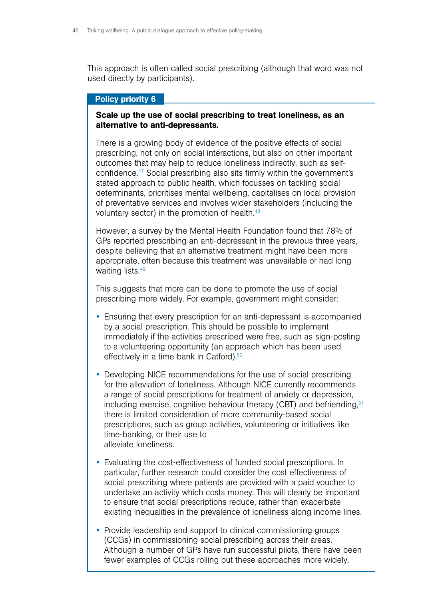This approach is often called social prescribing (although that word was not used directly by participants).

### Policy priority 6

## Scale up the use of social prescribing to treat loneliness, as an alternative to anti-depressants.

There is a growing body of evidence of the positive effects of social prescribing, not only on social interactions, but also on other important outcomes that may help to reduce loneliness indirectly, such as selfconfidence.47 Social prescribing also sits firmly within the government's stated approach to public health, which focusses on tackling social determinants, prioritises mental wellbeing, capitalises on local provision of preventative services and involves wider stakeholders (including the voluntary sector) in the promotion of health.48

However, a survey by the Mental Health Foundation found that 78% of GPs reported prescribing an anti-depressant in the previous three years, despite believing that an alternative treatment might have been more appropriate, often because this treatment was unavailable or had long waiting lists.<sup>49</sup>

This suggests that more can be done to promote the use of social prescribing more widely. For example, government might consider:

- Ensuring that every prescription for an anti-depressant is accompanied by a social prescription. This should be possible to implement immediately if the activities prescribed were free, such as sign-posting to a volunteering opportunity (an approach which has been used effectively in a time bank in Catford).<sup>50</sup>
- Developing NICE recommendations for the use of social prescribing for the alleviation of loneliness. Although NICE currently recommends a range of social prescriptions for treatment of anxiety or depression, including exercise, cognitive behaviour therapy  $(CBT)$  and befriending,  $51$ there is limited consideration of more community-based social prescriptions, such as group activities, volunteering or initiatives like time-banking, or their use to alleviate loneliness.
- Evaluating the cost-effectiveness of funded social prescriptions. In particular, further research could consider the cost effectiveness of social prescribing where patients are provided with a paid voucher to undertake an activity which costs money. This will clearly be important to ensure that social prescriptions reduce, rather than exacerbate existing inequalities in the prevalence of loneliness along income lines.
- Provide leadership and support to clinical commissioning groups (CCGs) in commissioning social prescribing across their areas. Although a number of GPs have run successful pilots, there have been fewer examples of CCGs rolling out these approaches more widely.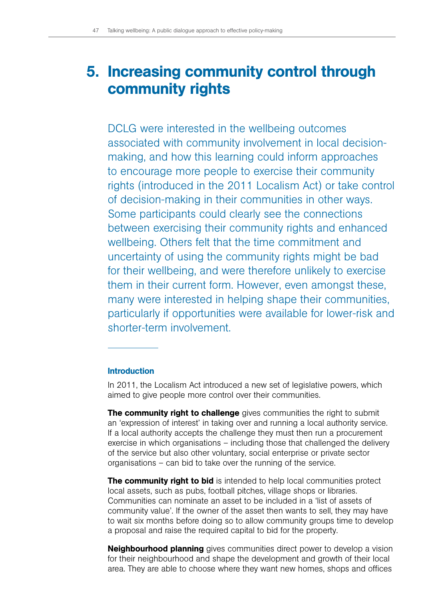# 5. Increasing community control through community rights

DCLG were interested in the wellbeing outcomes associated with community involvement in local decisionmaking, and how this learning could inform approaches to encourage more people to exercise their community rights (introduced in the 2011 Localism Act) or take control of decision-making in their communities in other ways. Some participants could clearly see the connections between exercising their community rights and enhanced wellbeing. Others felt that the time commitment and uncertainty of using the community rights might be bad for their wellbeing, and were therefore unlikely to exercise them in their current form. However, even amongst these, many were interested in helping shape their communities, particularly if opportunities were available for lower-risk and shorter-term involvement.

## Introduction

In 2011, the Localism Act introduced a new set of legislative powers, which aimed to give people more control over their communities.

**The community right to challenge** gives communities the right to submit an 'expression of interest' in taking over and running a local authority service. If a local authority accepts the challenge they must then run a procurement exercise in which organisations – including those that challenged the delivery of the service but also other voluntary, social enterprise or private sector organisations – can bid to take over the running of the service.

**The community right to bid** is intended to help local communities protect local assets, such as pubs, football pitches, village shops or libraries. Communities can nominate an asset to be included in a 'list of assets of community value'. If the owner of the asset then wants to sell, they may have to wait six months before doing so to allow community groups time to develop a proposal and raise the required capital to bid for the property.

**Neighbourhood planning** gives communities direct power to develop a vision for their neighbourhood and shape the development and growth of their local area. They are able to choose where they want new homes, shops and offices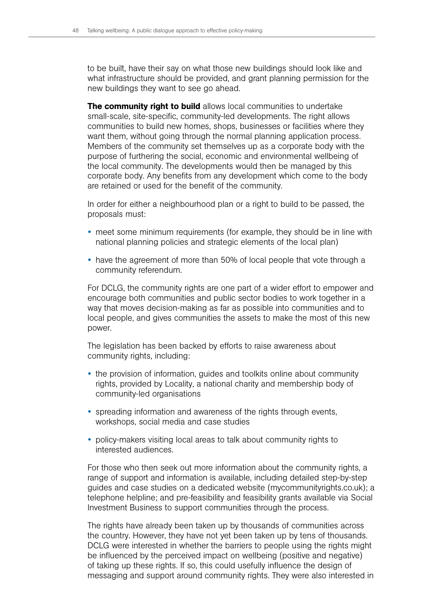to be built, have their say on what those new buildings should look like and what infrastructure should be provided, and grant planning permission for the new buildings they want to see go ahead.

The community right to build allows local communities to undertake small-scale, site-specific, community-led developments. The right allows communities to build new homes, shops, businesses or facilities where they want them, without going through the normal planning application process. Members of the community set themselves up as a corporate body with the purpose of furthering the social, economic and environmental wellbeing of the local community. The developments would then be managed by this corporate body. Any benefits from any development which come to the body are retained or used for the benefit of the community.

In order for either a neighbourhood plan or a right to build to be passed, the proposals must:

- meet some minimum requirements (for example, they should be in line with national planning policies and strategic elements of the local plan)
- have the agreement of more than 50% of local people that vote through a community referendum.

For DCLG, the community rights are one part of a wider effort to empower and encourage both communities and public sector bodies to work together in a way that moves decision-making as far as possible into communities and to local people, and gives communities the assets to make the most of this new power.

The legislation has been backed by efforts to raise awareness about community rights, including:

- the provision of information, guides and toolkits online about community rights, provided by Locality, a national charity and membership body of community-led organisations
- spreading information and awareness of the rights through events, workshops, social media and case studies
- policy-makers visiting local areas to talk about community rights to interested audiences.

For those who then seek out more information about the community rights, a range of support and information is available, including detailed step-by-step guides and case studies on a dedicated website (mycommunityrights.co.uk); a telephone helpline; and pre-feasibility and feasibility grants available via Social Investment Business to support communities through the process.

The rights have already been taken up by thousands of communities across the country. However, they have not yet been taken up by tens of thousands. DCLG were interested in whether the barriers to people using the rights might be influenced by the perceived impact on wellbeing (positive and negative) of taking up these rights. If so, this could usefully influence the design of messaging and support around community rights. They were also interested in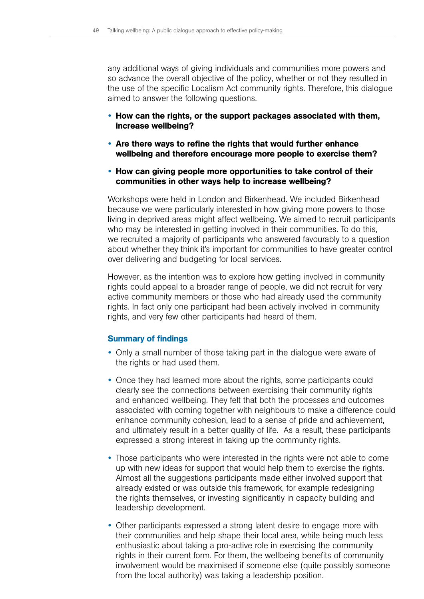any additional ways of giving individuals and communities more powers and so advance the overall objective of the policy, whether or not they resulted in the use of the specific Localism Act community rights. Therefore, this dialogue aimed to answer the following questions.

- How can the rights, or the support packages associated with them, increase wellbeing?
- Are there ways to refine the rights that would further enhance wellbeing and therefore encourage more people to exercise them?
- How can giving people more opportunities to take control of their communities in other ways help to increase wellbeing?

Workshops were held in London and Birkenhead. We included Birkenhead because we were particularly interested in how giving more powers to those living in deprived areas might affect wellbeing. We aimed to recruit participants who may be interested in getting involved in their communities. To do this, we recruited a majority of participants who answered favourably to a question about whether they think it's important for communities to have greater control over delivering and budgeting for local services.

However, as the intention was to explore how getting involved in community rights could appeal to a broader range of people, we did not recruit for very active community members or those who had already used the community rights. In fact only one participant had been actively involved in community rights, and very few other participants had heard of them.

## Summary of findings

- Only a small number of those taking part in the dialogue were aware of the rights or had used them.
- Once they had learned more about the rights, some participants could clearly see the connections between exercising their community rights and enhanced wellbeing. They felt that both the processes and outcomes associated with coming together with neighbours to make a difference could enhance community cohesion, lead to a sense of pride and achievement, and ultimately result in a better quality of life. As a result, these participants expressed a strong interest in taking up the community rights.
- Those participants who were interested in the rights were not able to come up with new ideas for support that would help them to exercise the rights. Almost all the suggestions participants made either involved support that already existed or was outside this framework, for example redesigning the rights themselves, or investing significantly in capacity building and leadership development.
- Other participants expressed a strong latent desire to engage more with their communities and help shape their local area, while being much less enthusiastic about taking a pro-active role in exercising the community rights in their current form. For them, the wellbeing benefits of community involvement would be maximised if someone else (quite possibly someone from the local authority) was taking a leadership position.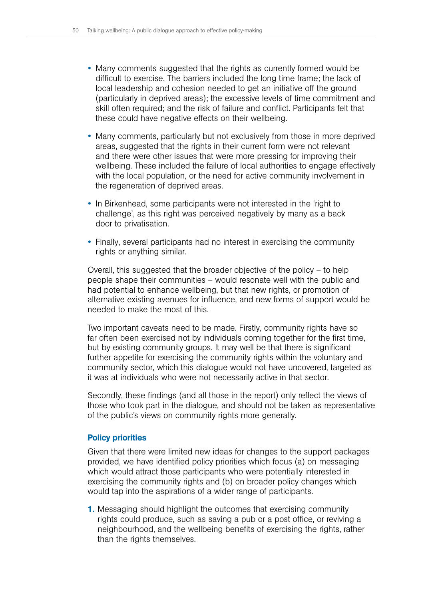- Many comments suggested that the rights as currently formed would be difficult to exercise. The barriers included the long time frame; the lack of local leadership and cohesion needed to get an initiative off the ground (particularly in deprived areas); the excessive levels of time commitment and skill often required; and the risk of failure and conflict. Participants felt that these could have negative effects on their wellbeing.
- Many comments, particularly but not exclusively from those in more deprived areas, suggested that the rights in their current form were not relevant and there were other issues that were more pressing for improving their wellbeing. These included the failure of local authorities to engage effectively with the local population, or the need for active community involvement in the regeneration of deprived areas.
- In Birkenhead, some participants were not interested in the 'right to challenge', as this right was perceived negatively by many as a back door to privatisation.
- Finally, several participants had no interest in exercising the community rights or anything similar.

Overall, this suggested that the broader objective of the policy – to help people shape their communities – would resonate well with the public and had potential to enhance wellbeing, but that new rights, or promotion of alternative existing avenues for influence, and new forms of support would be needed to make the most of this.

Two important caveats need to be made. Firstly, community rights have so far often been exercised not by individuals coming together for the first time, but by existing community groups. It may well be that there is significant further appetite for exercising the community rights within the voluntary and community sector, which this dialogue would not have uncovered, targeted as it was at individuals who were not necessarily active in that sector.

Secondly, these findings (and all those in the report) only reflect the views of those who took part in the dialogue, and should not be taken as representative of the public's views on community rights more generally.

# Policy priorities

Given that there were limited new ideas for changes to the support packages provided, we have identified policy priorities which focus (a) on messaging which would attract those participants who were potentially interested in exercising the community rights and (b) on broader policy changes which would tap into the aspirations of a wider range of participants.

1. Messaging should highlight the outcomes that exercising community rights could produce, such as saving a pub or a post office, or reviving a neighbourhood, and the wellbeing benefits of exercising the rights, rather than the rights themselves.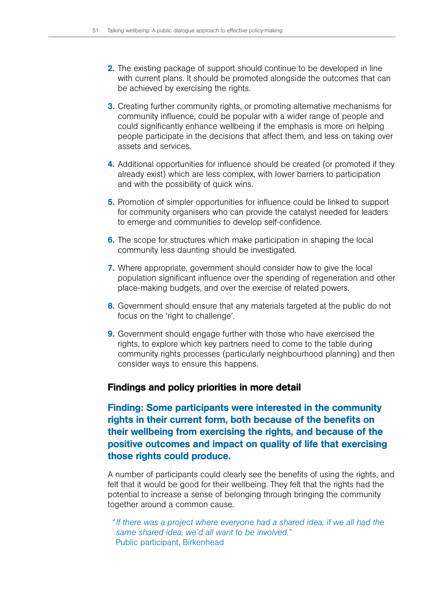- 2. The existing package of support should continue to be developed in line with current plans. It should be promoted alongside the outcomes that can be achieved by exercising the rights.
- **3.** Creating further community rights, or promoting alternative mechanisms for community influence, could be popular with a wider range of people and could significantly enhance wellbeing if the emphasis is more on helping people participate in the decisions that affect them, and less on taking over assets and services.
- 4. Additional opportunities for influence should be created (or promoted if they already exist) which are less complex, with lower barriers to participation and with the possibility of quick wins.
- 5. Promotion of simpler opportunities for influence could be linked to support for community organisers who can provide the catalyst needed for leaders to emerge and communities to develop self-confidence.
- 6. The scope for structures which make participation in shaping the local community less daunting should be investigated.
- 7. Where appropriate, government should consider how to give the local population significant influence over the spending of regeneration and other place-making budgets, and over the exercise of related powers.
- 8. Government should ensure that any materials targeted at the public do not focus on the 'right to challenge'.
- **9.** Government should engage further with those who have exercised the rights, to explore which key partners need to come to the table during community rights processes (particularly neighbourhood planning) and then consider ways to ensure this happens.

# Findings and policy priorities in more detail

Finding: Some participants were interested in the community rights in their current form, both because of the benefits on their wellbeing from exercising the rights, and because of the positive outcomes and impact on quality of life that exercising those rights could produce.

A number of participants could clearly see the benefits of using the rights, and felt that it would be good for their wellbeing. They felt that the rights had the potential to increase a sense of belonging through bringing the community together around a common cause.

*"If there was a project where everyone had a shared idea, if we all had the same shared idea, we'd all want to be involved."* Public participant, Birkenhead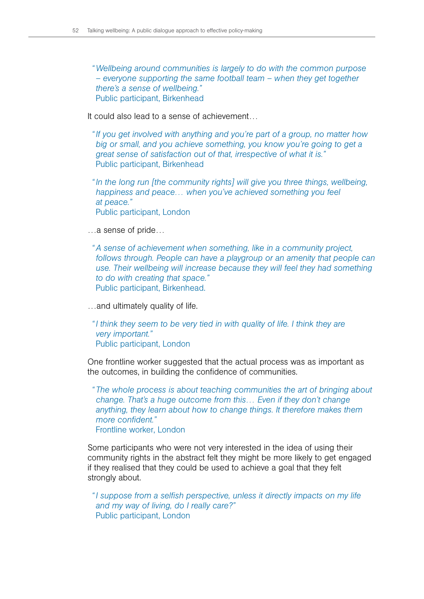*"Wellbeing around communities is largely to do with the common purpose – everyone supporting the same football team – when they get together there's a sense of wellbeing."* Public participant, Birkenhead

It could also lead to a sense of achievement…

*"If you get involved with anything and you're part of a group, no matter how big or small, and you achieve something, you know you're going to get a great sense of satisfaction out of that, irrespective of what it is."* Public participant, Birkenhead

*"In the long run [the community rights] will give you three things, wellbeing, happiness and peace… when you've achieved something you feel at peace."* Public participant, London

…a sense of pride…

*"A sense of achievement when something, like in a community project, follows through. People can have a playgroup or an amenity that people can* use. Their wellbeing will increase because they will feel they had something *to do with creating that space."* Public participant, Birkenhead.

…and ultimately quality of life.

*"I think they seem to be very tied in with quality of life. I think they are very important."* Public participant, London

One frontline worker suggested that the actual process was as important as the outcomes, in building the confidence of communities.

*" The whole process is about teaching communities the art of bringing about change. That's a huge outcome from this… Even if they don't change anything, they learn about how to change things. It therefore makes them more confident."*

Frontline worker, London

Some participants who were not very interested in the idea of using their community rights in the abstract felt they might be more likely to get engaged if they realised that they could be used to achieve a goal that they felt strongly about.

*"I suppose from a selfish perspective, unless it directly impacts on my life and my way of living, do I really care?"* Public participant, London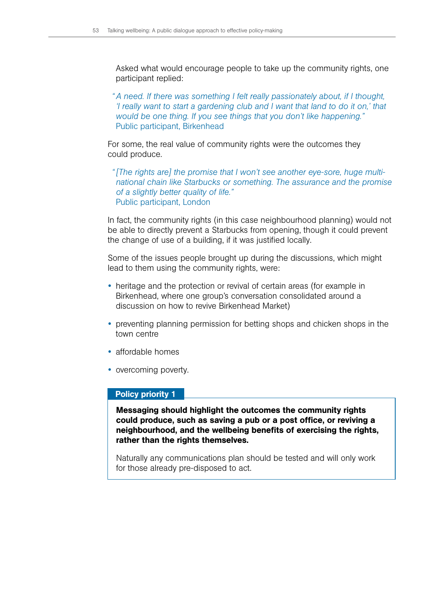Asked what would encourage people to take up the community rights, one participant replied:

*"A need. If there was something I felt really passionately about, if I thought, I* really want to start a gardening club and I want that land to do it on,' that *would be one thing. If you see things that you don't like happening."* Public participant, Birkenhead

For some, the real value of community rights were the outcomes they could produce.

*"[The rights are] the promise that I won't see another eye-sore, huge multinational chain like Starbucks or something. The assurance and the promise of a slightly better quality of life."* Public participant, London

In fact, the community rights (in this case neighbourhood planning) would not be able to directly prevent a Starbucks from opening, though it could prevent the change of use of a building, if it was justified locally.

Some of the issues people brought up during the discussions, which might lead to them using the community rights, were:

- heritage and the protection or revival of certain areas (for example in Birkenhead, where one group's conversation consolidated around a discussion on how to revive Birkenhead Market)
- preventing planning permission for betting shops and chicken shops in the town centre
- $\bullet$  affordable homes
- overcoming poverty.

#### Policy priority 1

Messaging should highlight the outcomes the community rights could produce, such as saving a pub or a post office, or reviving a neighbourhood, and the wellbeing benefits of exercising the rights, rather than the rights themselves.

Naturally any communications plan should be tested and will only work for those already pre-disposed to act.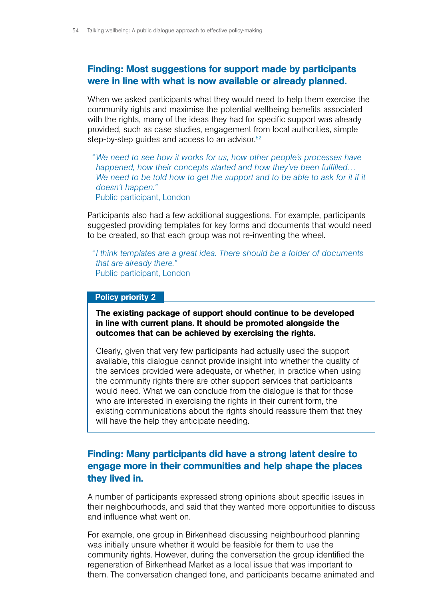# Finding: Most suggestions for support made by participants were in line with what is now available or already planned.

When we asked participants what they would need to help them exercise the community rights and maximise the potential wellbeing benefits associated with the rights, many of the ideas they had for specific support was already provided, such as case studies, engagement from local authorities, simple step-by-step guides and access to an advisor.<sup>52</sup>

*"We need to see how it works for us, how other people's processes have happened, how their concepts started and how they've been fulfilled…*  We need to be told how to get the support and to be able to ask for it if it *doesn't happen."* Public participant, London

Participants also had a few additional suggestions. For example, participants suggested providing templates for key forms and documents that would need to be created, so that each group was not re-inventing the wheel.

*"I think templates are a great idea. There should be a folder of documents that are already there."* Public participant, London

## Policy priority 2

The existing package of support should continue to be developed in line with current plans. It should be promoted alongside the outcomes that can be achieved by exercising the rights.

Clearly, given that very few participants had actually used the support available, this dialogue cannot provide insight into whether the quality of the services provided were adequate, or whether, in practice when using the community rights there are other support services that participants would need. What we can conclude from the dialogue is that for those who are interested in exercising the rights in their current form, the existing communications about the rights should reassure them that they will have the help they anticipate needing.

# Finding: Many participants did have a strong latent desire to engage more in their communities and help shape the places they lived in.

A number of participants expressed strong opinions about specific issues in their neighbourhoods, and said that they wanted more opportunities to discuss and influence what went on.

For example, one group in Birkenhead discussing neighbourhood planning was initially unsure whether it would be feasible for them to use the community rights. However, during the conversation the group identified the regeneration of Birkenhead Market as a local issue that was important to them. The conversation changed tone, and participants became animated and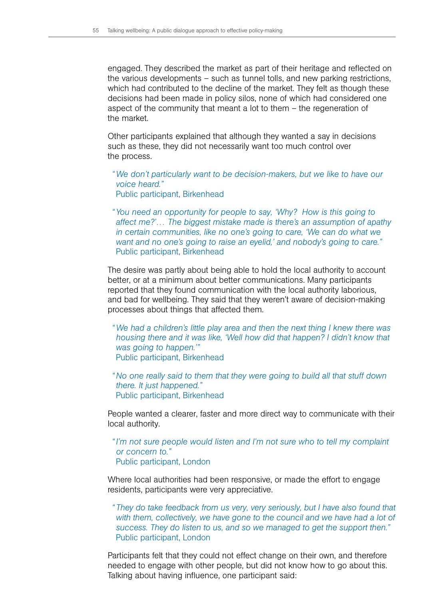engaged. They described the market as part of their heritage and reflected on the various developments – such as tunnel tolls, and new parking restrictions, which had contributed to the decline of the market. They felt as though these decisions had been made in policy silos, none of which had considered one aspect of the community that meant a lot to them – the regeneration of the market.

Other participants explained that although they wanted a say in decisions such as these, they did not necessarily want too much control over the process.

*"We don't particularly want to be decision-makers, but we like to have our voice heard."* Public participant, Birkenhead

*"You need an opportunity for people to say, 'Why? How is this going to affect me?'… The biggest mistake made is there's an assumption of apathy in certain communities, like no one's going to care, 'We can do what we want and no one's going to raise an eyelid,' and nobody's going to care."* Public participant, Birkenhead

The desire was partly about being able to hold the local authority to account better, or at a minimum about better communications. Many participants reported that they found communication with the local authority laborious, and bad for wellbeing. They said that they weren't aware of decision-making processes about things that affected them.

- *"We had a children's little play area and then the next thing I knew there was housing there and it was like, 'Well how did that happen? I didn't know that was going to happen.'"* Public participant, Birkenhead
- *"No one really said to them that they were going to build all that stuff down there. It just happened."* Public participant, Birkenhead

People wanted a clearer, faster and more direct way to communicate with their local authority.

*"I'm not sure people would listen and I'm not sure who to tell my complaint or concern to."* Public participant, London

Where local authorities had been responsive, or made the effort to engage residents, participants were very appreciative.

*" They do take feedback from us very, very seriously, but I have also found that*  with them, collectively, we have gone to the council and we have had a lot of *success. They do listen to us, and so we managed to get the support then."* Public participant, London

Participants felt that they could not effect change on their own, and therefore needed to engage with other people, but did not know how to go about this. Talking about having influence, one participant said: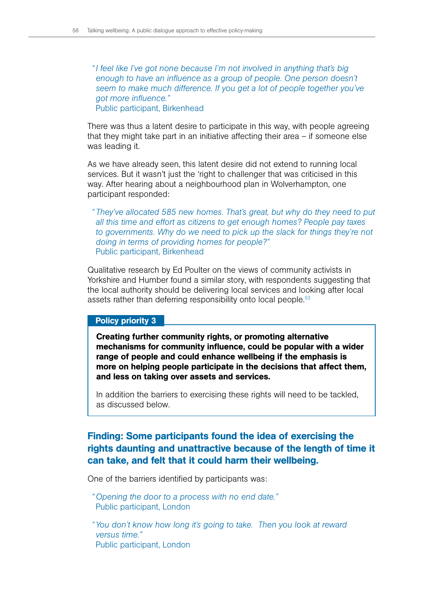*"I feel like I've got none because I'm not involved in anything that's big enough to have an influence as a group of people. One person doesn't seem to make much difference. If you get a lot of people together you've got more influence."* Public participant, Birkenhead

There was thus a latent desire to participate in this way, with people agreeing that they might take part in an initiative affecting their area – if someone else was leading it.

As we have already seen, this latent desire did not extend to running local services. But it wasn't just the 'right to challenger that was criticised in this way. After hearing about a neighbourhood plan in Wolverhampton, one participant responded:

*" They've allocated 585 new homes. That's great, but why do they need to put all this time and effort as citizens to get enough homes? People pay taxes to governments. Why do we need to pick up the slack for things they're not doing in terms of providing homes for people?"* Public participant, Birkenhead

Qualitative research by Ed Poulter on the views of community activists in Yorkshire and Humber found a similar story, with respondents suggesting that the local authority should be delivering local services and looking after local assets rather than deferring responsibility onto local people.<sup>53</sup>

#### Policy priority 3

Creating further community rights, or promoting alternative mechanisms for community influence, could be popular with a wider range of people and could enhance wellbeing if the emphasis is more on helping people participate in the decisions that affect them, and less on taking over assets and services.

In addition the barriers to exercising these rights will need to be tackled, as discussed below.

# Finding: Some participants found the idea of exercising the rights daunting and unattractive because of the length of time it can take, and felt that it could harm their wellbeing.

One of the barriers identified by participants was:

*"Opening the door to a process with no end date."* Public participant, London

*"You don't know how long it's going to take. Then you look at reward versus time."* Public participant, London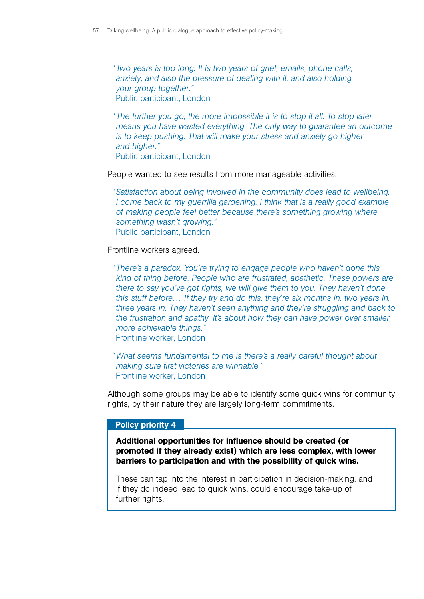*" Two years is too long. It is two years of grief, emails, phone calls, anxiety, and also the pressure of dealing with it, and also holding your group together."* Public participant, London

*" The further you go, the more impossible it is to stop it all. To stop later means you have wasted everything. The only way to guarantee an outcome is to keep pushing. That will make your stress and anxiety go higher and higher."* Public participant, London

People wanted to see results from more manageable activities.

*"Satisfaction about being involved in the community does lead to wellbeing. I* come back to my guerrilla gardening. I think that is a really good example *of making people feel better because there's something growing where something wasn't growing."* Public participant, London

Frontline workers agreed.

*" There's a paradox. You're trying to engage people who haven't done this kind of thing before. People who are frustrated, apathetic. These powers are there to say you've got rights, we will give them to you. They haven't done this stuff before… If they try and do this, they're six months in, two years in, three years in. They haven't seen anything and they're struggling and back to the frustration and apathy. It's about how they can have power over smaller, more achievable things."* Frontline worker, London

*"What seems fundamental to me is there's a really careful thought about making sure first victories are winnable."* Frontline worker, London

Although some groups may be able to identify some quick wins for community rights, by their nature they are largely long-term commitments.

#### Policy priority 4

Additional opportunities for influence should be created (or promoted if they already exist) which are less complex, with lower barriers to participation and with the possibility of quick wins.

These can tap into the interest in participation in decision-making, and if they do indeed lead to quick wins, could encourage take-up of further rights.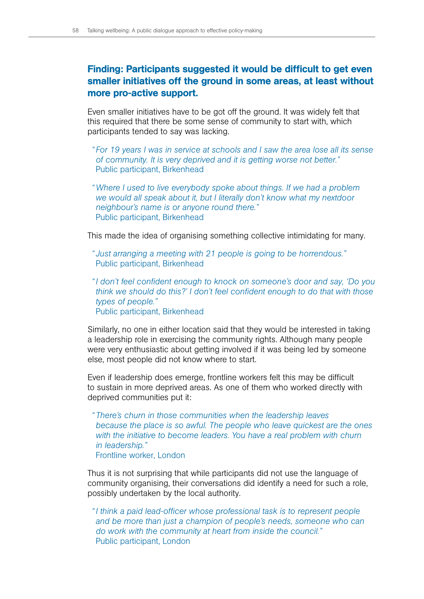# Finding: Participants suggested it would be difficult to get even smaller initiatives off the ground in some areas, at least without more pro-active support.

Even smaller initiatives have to be got off the ground. It was widely felt that this required that there be some sense of community to start with, which participants tended to say was lacking.

- *" For 19 years I was in service at schools and I saw the area lose all its sense of community. It is very deprived and it is getting worse not better."* Public participant, Birkenhead
- *"Where I used to live everybody spoke about things. If we had a problem we would all speak about it, but I literally don't know what my nextdoor neighbour's name is or anyone round there."* Public participant, Birkenhead

This made the idea of organising something collective intimidating for many.

*" Just arranging a meeting with 21 people is going to be horrendous."* Public participant, Birkenhead

*"I don't feel confident enough to knock on someone's door and say, 'Do you think we should do this?' I don't feel confident enough to do that with those types of people."* Public participant, Birkenhead

Similarly, no one in either location said that they would be interested in taking a leadership role in exercising the community rights. Although many people were very enthusiastic about getting involved if it was being led by someone else, most people did not know where to start.

Even if leadership does emerge, frontline workers felt this may be difficult to sustain in more deprived areas. As one of them who worked directly with deprived communities put it:

*" There's churn in those communities when the leadership leaves because the place is so awful. The people who leave quickest are the ones*  with the initiative to become leaders. You have a real problem with churn *in leadership."*  Frontline worker, London

Thus it is not surprising that while participants did not use the language of community organising, their conversations did identify a need for such a role, possibly undertaken by the local authority.

*"I think a paid lead-officer whose professional task is to represent people and be more than just a champion of people's needs, someone who can do work with the community at heart from inside the council."* Public participant, London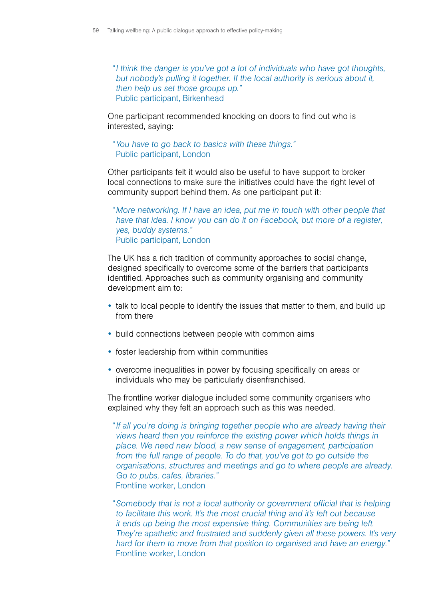*"I think the danger is you've got a lot of individuals who have got thoughts, but nobody's pulling it together. If the local authority is serious about it, then help us set those groups up."* Public participant, Birkenhead

One participant recommended knocking on doors to find out who is interested, saying:

*"You have to go back to basics with these things."* Public participant, London

Other participants felt it would also be useful to have support to broker local connections to make sure the initiatives could have the right level of community support behind them. As one participant put it:

*" More networking. If I have an idea, put me in touch with other people that have that idea. I know you can do it on Facebook, but more of a register, yes, buddy systems."* Public participant, London

The UK has a rich tradition of community approaches to social change, designed specifically to overcome some of the barriers that participants identified. Approaches such as community organising and community development aim to:

- talk to local people to identify the issues that matter to them, and build up from there
- build connections between people with common aims
- foster leadership from within communities
- overcome inequalities in power by focusing specifically on areas or individuals who may be particularly disenfranchised.

The frontline worker dialogue included some community organisers who explained why they felt an approach such as this was needed.

*"If all you're doing is bringing together people who are already having their views heard then you reinforce the existing power which holds things in place. We need new blood, a new sense of engagement, participation from the full range of people. To do that, you've got to go outside the organisations, structures and meetings and go to where people are already. Go to pubs, cafes, libraries."* Frontline worker, London

*"Somebody that is not a local authority or government official that is helping to facilitate this work. It's the most crucial thing and it's left out because it ends up being the most expensive thing. Communities are being left. They're apathetic and frustrated and suddenly given all these powers. It's very hard for them to move from that position to organised and have an energy."* Frontline worker, London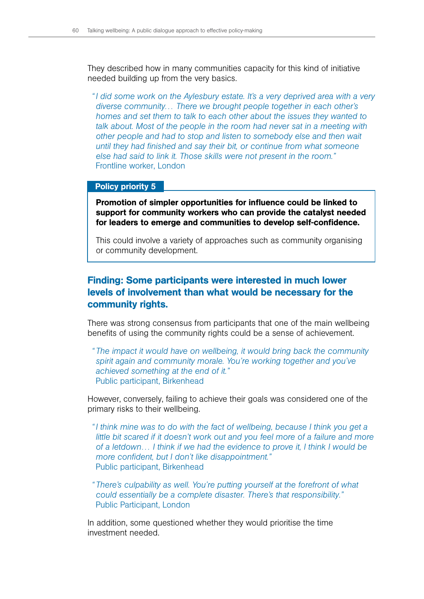They described how in many communities capacity for this kind of initiative needed building up from the very basics.

*"I did some work on the Aylesbury estate. It's a very deprived area with a very diverse community… There we brought people together in each other's homes and set them to talk to each other about the issues they wanted to*  talk about. Most of the people in the room had never sat in a meeting with *other people and had to stop and listen to somebody else and then wait until they had finished and say their bit, or continue from what someone else had said to link it. Those skills were not present in the room."* Frontline worker, London

#### Policy priority 5

Promotion of simpler opportunities for influence could be linked to support for community workers who can provide the catalyst needed for leaders to emerge and communities to develop self-confidence.

This could involve a variety of approaches such as community organising or community development.

# Finding: Some participants were interested in much lower levels of involvement than what would be necessary for the community rights.

There was strong consensus from participants that one of the main wellbeing benefits of using the community rights could be a sense of achievement.

*" The impact it would have on wellbeing, it would bring back the community spirit again and community morale. You're working together and you've achieved something at the end of it."*  Public participant, Birkenhead

However, conversely, failing to achieve their goals was considered one of the primary risks to their wellbeing.

*"I think mine was to do with the fact of wellbeing, because I think you get a little bit scared if it doesn't work out and you feel more of a failure and more of a letdown… I think if we had the evidence to prove it, I think I would be more confident, but I don't like disappointment."* Public participant, Birkenhead

*" There's culpability as well. You're putting yourself at the forefront of what could essentially be a complete disaster. There's that responsibility."* Public Participant, London

In addition, some questioned whether they would prioritise the time investment needed.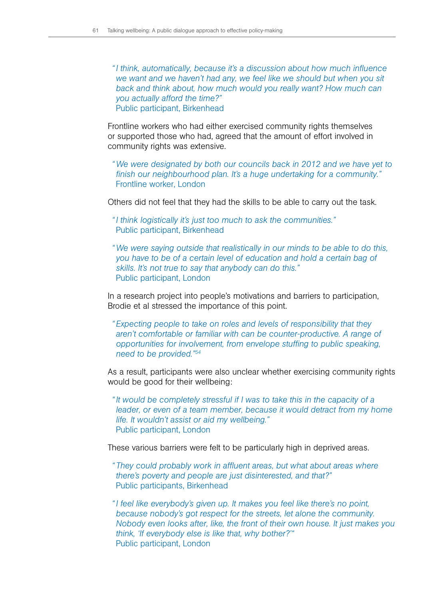*"I think, automatically, because it's a discussion about how much influence we want and we haven't had any, we feel like we should but when you sit back and think about, how much would you really want? How much can you actually afford the time?"* Public participant, Birkenhead

Frontline workers who had either exercised community rights themselves or supported those who had, agreed that the amount of effort involved in community rights was extensive.

*"We were designated by both our councils back in 2012 and we have yet to finish our neighbourhood plan. It's a huge undertaking for a community."* Frontline worker, London

Others did not feel that they had the skills to be able to carry out the task.

*"I think logistically it's just too much to ask the communities."* Public participant, Birkenhead

*"We were saying outside that realistically in our minds to be able to do this, you have to be of a certain level of education and hold a certain bag of skills. It's not true to say that anybody can do this."* Public participant, London

In a research project into people's motivations and barriers to participation, Brodie et al stressed the importance of this point.

*"Expecting people to take on roles and levels of responsibility that they aren't comfortable or familiar with can be counter-productive. A range of opportunities for involvement, from envelope stuffing to public speaking, need to be provided."54*

As a result, participants were also unclear whether exercising community rights would be good for their wellbeing:

*"It would be completely stressful if I was to take this in the capacity of a leader, or even of a team member, because it would detract from my home life. It wouldn't assist or aid my wellbeing."* Public participant, London

These various barriers were felt to be particularly high in deprived areas.

- *" They could probably work in affluent areas, but what about areas where there's poverty and people are just disinterested, and that?"* Public participants, Birkenhead
- *"I feel like everybody's given up. It makes you feel like there's no point, because nobody's got respect for the streets, let alone the community. Nobody even looks after, like, the front of their own house. It just makes you think, 'If everybody else is like that, why bother?'"* Public participant, London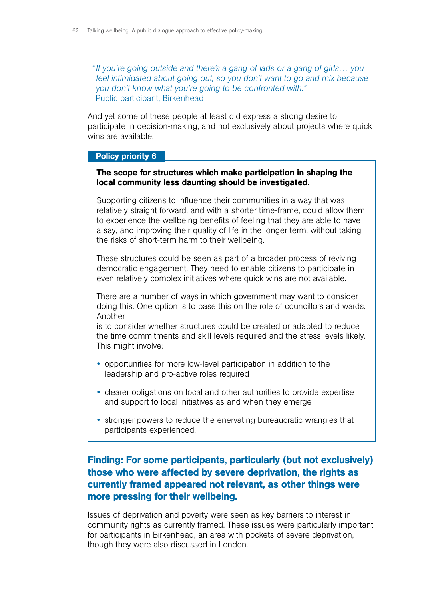*"If you're going outside and there's a gang of lads or a gang of girls… you feel intimidated about going out, so you don't want to go and mix because you don't know what you're going to be confronted with."*  Public participant, Birkenhead

And yet some of these people at least did express a strong desire to participate in decision-making, and not exclusively about projects where quick wins are available.

## Policy priority 6

## The scope for structures which make participation in shaping the local community less daunting should be investigated.

Supporting citizens to influence their communities in a way that was relatively straight forward, and with a shorter time-frame, could allow them to experience the wellbeing benefits of feeling that they are able to have a say, and improving their quality of life in the longer term, without taking the risks of short-term harm to their wellbeing.

These structures could be seen as part of a broader process of reviving democratic engagement. They need to enable citizens to participate in even relatively complex initiatives where quick wins are not available.

There are a number of ways in which government may want to consider doing this. One option is to base this on the role of councillors and wards. Another

is to consider whether structures could be created or adapted to reduce the time commitments and skill levels required and the stress levels likely. This might involve:

- opportunities for more low-level participation in addition to the leadership and pro-active roles required
- clearer obligations on local and other authorities to provide expertise and support to local initiatives as and when they emerge
- stronger powers to reduce the enervating bureaucratic wrangles that participants experienced.

# Finding: For some participants, particularly (but not exclusively) those who were affected by severe deprivation, the rights as currently framed appeared not relevant, as other things were more pressing for their wellbeing.

Issues of deprivation and poverty were seen as key barriers to interest in community rights as currently framed. These issues were particularly important for participants in Birkenhead, an area with pockets of severe deprivation, though they were also discussed in London.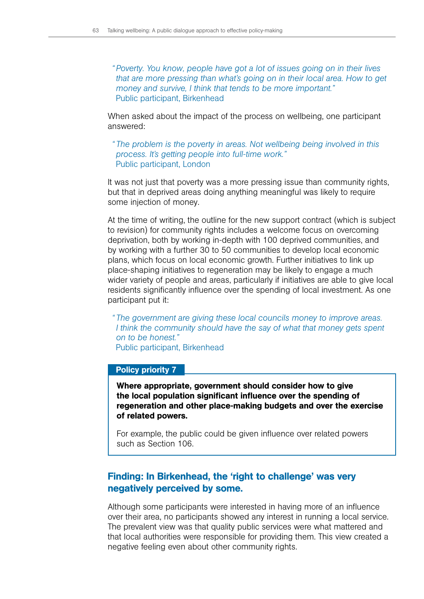*"Poverty. You know, people have got a lot of issues going on in their lives that are more pressing than what's going on in their local area. How to get money and survive, I think that tends to be more important."* Public participant, Birkenhead

When asked about the impact of the process on wellbeing, one participant answered:

*" The problem is the poverty in areas. Not wellbeing being involved in this process. It's getting people into full-time work."* Public participant, London

It was not just that poverty was a more pressing issue than community rights, but that in deprived areas doing anything meaningful was likely to require some injection of money.

At the time of writing, the outline for the new support contract (which is subject to revision) for community rights includes a welcome focus on overcoming deprivation, both by working in-depth with 100 deprived communities, and by working with a further 30 to 50 communities to develop local economic plans, which focus on local economic growth. Further initiatives to link up place-shaping initiatives to regeneration may be likely to engage a much wider variety of people and areas, particularly if initiatives are able to give local residents significantly influence over the spending of local investment. As one participant put it:

*" The government are giving these local councils money to improve areas. I think the community should have the say of what that money gets spent on to be honest."* Public participant, Birkenhead

#### Policy priority 7

Where appropriate, government should consider how to give the local population significant influence over the spending of regeneration and other place-making budgets and over the exercise of related powers.

For example, the public could be given influence over related powers such as Section 106.

# Finding: In Birkenhead, the 'right to challenge' was very negatively perceived by some.

Although some participants were interested in having more of an influence over their area, no participants showed any interest in running a local service. The prevalent view was that quality public services were what mattered and that local authorities were responsible for providing them. This view created a negative feeling even about other community rights.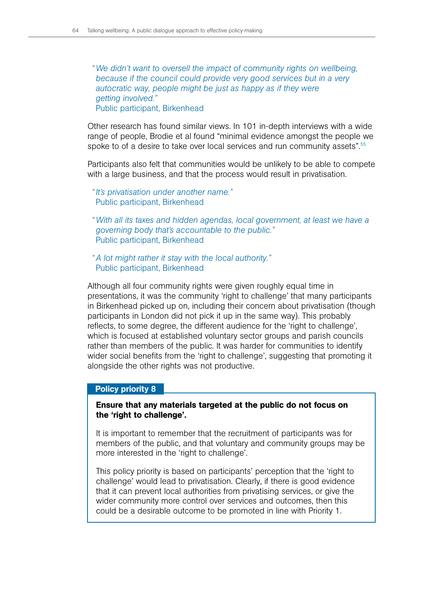*"We didn't want to oversell the impact of community rights on wellbeing, because if the council could provide very good services but in a very autocratic way, people might be just as happy as if they were getting involved."* Public participant, Birkenhead

Other research has found similar views. In 101 in-depth interviews with a wide range of people, Brodie et al found "minimal evidence amongst the people we spoke to of a desire to take over local services and run community assets".<sup>55</sup>

Participants also felt that communities would be unlikely to be able to compete with a large business, and that the process would result in privatisation.

*"It's privatisation under another name."* Public participant, Birkenhead

*"With all its taxes and hidden agendas, local government, at least we have a governing body that's accountable to the public."* Public participant, Birkenhead

*"A lot might rather it stay with the local authority."* Public participant, Birkenhead

Although all four community rights were given roughly equal time in presentations, it was the community 'right to challenge' that many participants in Birkenhead picked up on, including their concern about privatisation (though participants in London did not pick it up in the same way). This probably reflects, to some degree, the different audience for the 'right to challenge', which is focused at established voluntary sector groups and parish councils rather than members of the public. It was harder for communities to identify wider social benefits from the 'right to challenge', suggesting that promoting it alongside the other rights was not productive.

### Policy priority 8

## Ensure that any materials targeted at the public do not focus on the 'right to challenge'.

It is important to remember that the recruitment of participants was for members of the public, and that voluntary and community groups may be more interested in the 'right to challenge'.

This policy priority is based on participants' perception that the 'right to challenge' would lead to privatisation. Clearly, if there is good evidence that it can prevent local authorities from privatising services, or give the wider community more control over services and outcomes, then this could be a desirable outcome to be promoted in line with Priority 1.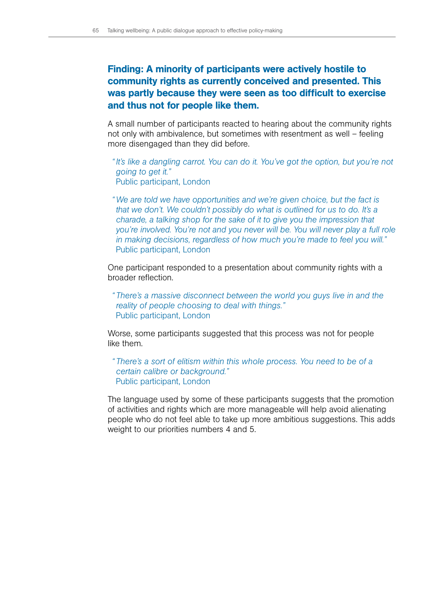# Finding: A minority of participants were actively hostile to community rights as currently conceived and presented. This was partly because they were seen as too difficult to exercise and thus not for people like them.

A small number of participants reacted to hearing about the community rights not only with ambivalence, but sometimes with resentment as well – feeling more disengaged than they did before.

- *"It's like a dangling carrot. You can do it. You've got the option, but you're not going to get it."* Public participant, London
- *"We are told we have opportunities and we're given choice, but the fact is that we don't. We couldn't possibly do what is outlined for us to do. It's a charade, a talking shop for the sake of it to give you the impression that you're involved. You're not and you never will be. You will never play a full role in making decisions, regardless of how much you're made to feel you will."* Public participant, London

One participant responded to a presentation about community rights with a broader reflection.

*" There's a massive disconnect between the world you guys live in and the reality of people choosing to deal with things."* Public participant, London

Worse, some participants suggested that this process was not for people like them.

*" There's a sort of elitism within this whole process. You need to be of a certain calibre or background."* Public participant, London

The language used by some of these participants suggests that the promotion of activities and rights which are more manageable will help avoid alienating people who do not feel able to take up more ambitious suggestions. This adds weight to our priorities numbers 4 and 5.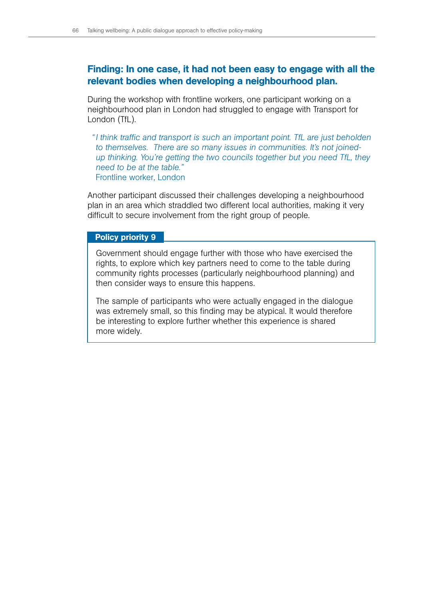# Finding: In one case, it had not been easy to engage with all the relevant bodies when developing a neighbourhood plan.

During the workshop with frontline workers, one participant working on a neighbourhood plan in London had struggled to engage with Transport for London (TfL).

*"I think traffic and transport is such an important point. TfL are just beholden to themselves. There are so many issues in communities. It's not joinedup thinking. You're getting the two councils together but you need TfL, they need to be at the table."* Frontline worker, London

Another participant discussed their challenges developing a neighbourhood plan in an area which straddled two different local authorities, making it very difficult to secure involvement from the right group of people.

#### Policy priority 9

Government should engage further with those who have exercised the rights, to explore which key partners need to come to the table during community rights processes (particularly neighbourhood planning) and then consider ways to ensure this happens.

The sample of participants who were actually engaged in the dialogue was extremely small, so this finding may be atypical. It would therefore be interesting to explore further whether this experience is shared more widely.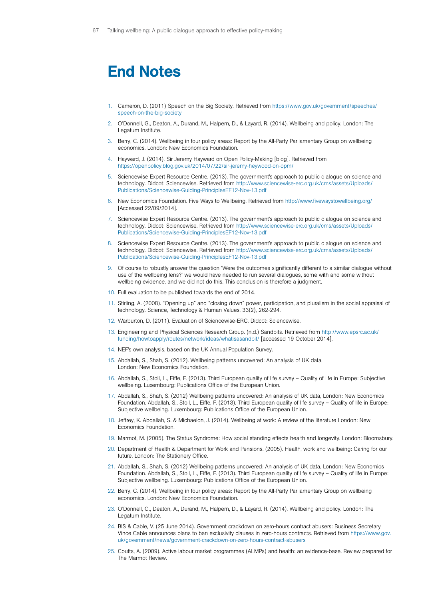# End Notes

- 1. Cameron, D. (2011) Speech on the Big Society. Retrieved from [https://www.gov.uk/government/speeches/](https://www.gov.uk/government/speeches/speech-on-the-big-society) [speech-on-the-big-society](https://www.gov.uk/government/speeches/speech-on-the-big-society)
- 2. O'Donnell, G., Deaton, A., Durand, M., Halpern, D., & Layard, R. (2014). Wellbeing and policy. London: The Legatum Institute.
- 3. Berry, C. (2014). Wellbeing in four policy areas: Report by the All-Party Parliamentary Group on wellbeing economics. London: New Economics Foundation.
- 4. Hayward, J. (2014). Sir Jeremy Hayward on Open Policy-Making [blog]. Retrieved from <https://openpolicy.blog.gov.uk/2014/07/22/sir-jeremy-heywood-on-opm/>
- 5. Sciencewise Expert Resource Centre. (2013). The government's approach to public dialogue on science and technology. Didcot: Sciencewise. Retrieved from [http://www.sciencewise-erc.org.uk/cms/assets/Uploads/](http://www.sciencewise-erc.org.uk/cms/assets/Uploads/Publications/Sciencewise-Guiding-PrinciplesEF12-Nov-13.pdf) [Publications/Sciencewise-Guiding-PrinciplesEF12-Nov-13.pdf](http://www.sciencewise-erc.org.uk/cms/assets/Uploads/Publications/Sciencewise-Guiding-PrinciplesEF12-Nov-13.pdf)
- 6. New Economics Foundation. Five Ways to Wellbeing. Retrieved from <http://www.fivewaystowellbeing.org/> [Accessed 22/09/2014].
- 7. Sciencewise Expert Resource Centre. (2013). The government's approach to public dialogue on science and technology. Didcot: Sciencewise. Retrieved from [http://www.sciencewise-erc.org.uk/cms/assets/Uploads/](http://www.sciencewise-erc.org.uk/cms/assets/Uploads/Publications/Sciencewise-Guiding-PrinciplesEF12-Nov-13.pdf) [Publications/Sciencewise-Guiding-PrinciplesEF12-Nov-13.pdf](http://www.sciencewise-erc.org.uk/cms/assets/Uploads/Publications/Sciencewise-Guiding-PrinciplesEF12-Nov-13.pdf)
- 8. Sciencewise Expert Resource Centre. (2013). The government's approach to public dialogue on science and technology. Didcot: Sciencewise. Retrieved from [http://www.sciencewise-erc.org.uk/cms/assets/Uploads/](http://www.sciencewise-erc.org.uk/cms/assets/Uploads/Publications/Sciencewise-Guiding-PrinciplesEF12-Nov-13.pdf) [Publications/Sciencewise-Guiding-PrinciplesEF12-Nov-13.pdf](http://www.sciencewise-erc.org.uk/cms/assets/Uploads/Publications/Sciencewise-Guiding-PrinciplesEF12-Nov-13.pdf)
- 9. Of course to robustly answer the question 'Were the outcomes significantly different to a similar dialogue without use of the wellbeing lens?' we would have needed to run several dialogues, some with and some without wellbeing evidence, and we did not do this. This conclusion is therefore a judgment.
- 10. Full evaluation to be published towards the end of 2014.
- 11. Stirling, A. (2008). "Opening up" and "closing down" power, participation, and pluralism in the social appraisal of technology. Science, Technology & Human Values, 33(2), 262-294.
- 12. Warburton, D. (2011). Evaluation of Sciencewise-ERC. Didcot: Sciencewise.
- 13. Engineering and Physical Sciences Research Group. (n.d.) Sandpits. Retrieved from [http://www.epsrc.ac.uk/](http://www.epsrc.ac.uk/funding/howtoapply/routes/network/ideas/whatisasandpit/) [funding/howtoapply/routes/network/ideas/whatisasandpit/](http://www.epsrc.ac.uk/funding/howtoapply/routes/network/ideas/whatisasandpit/) [accessed 19 October 2014].
- 14. NEF's own analysis, based on the UK Annual Population Survey.
- 15. Abdallah, S., Shah, S. (2012). Wellbeing patterns uncovered: An analysis of UK data, London: New Economics Foundation.
- 16. Abdallah, S., Stoll, L., Eiffe, F. (2013). Third European quality of life survey Quality of life in Europe: Subjective wellbeing. Luxembourg: Publications Office of the European Union.
- 17. Abdallah, S., Shah, S. (2012) Wellbeing patterns uncovered: An analysis of UK data, London: New Economics Foundation. Abdallah, S., Stoll, L., Eiffe, F. (2013). Third European quality of life survey – Quality of life in Europe: Subjective wellbeing. Luxembourg: Publications Office of the European Union.
- 18. Jeffrey, K. Abdallah, S. & Michaelon, J. (2014). Wellbeing at work: A review of the literature London: New Economics Foundation.
- 19. Marmot, M. (2005). The Status Syndrome: How social standing effects health and longevity. London: Bloomsbury.
- 20. Department of Health & Department for Work and Pensions. (2005). Health, work and wellbeing: Caring for our future. London: The Stationery Office.
- 21. Abdallah, S., Shah, S. (2012) Wellbeing patterns uncovered: An analysis of UK data, London: New Economics Foundation. Abdallah, S., Stoll, L., Eiffe, F. (2013). Third European quality of life survey – Quality of life in Europe: Subjective wellbeing. Luxembourg: Publications Office of the European Union.
- 22. Berry, C. (2014). Wellbeing in four policy areas: Report by the All-Party Parliamentary Group on wellbeing economics. London: New Economics Foundation.
- 23. O'Donnell, G., Deaton, A., Durand, M., Halpern, D., & Layard, R. (2014). Wellbeing and policy. London: The Legatum Institute.
- 24. BIS & Cable, V. (25 June 2014). Government crackdown on zero-hours contract abusers: Business Secretary Vince Cable announces plans to ban exclusivity clauses in zero-hours contracts. Retrieved from [https://www.gov.](https://www.gov.uk/government/news/government-crackdown-on-zero-hours-contract-abusers) [uk/government/news/government-crackdown-on-zero-hours-contract-abusers](https://www.gov.uk/government/news/government-crackdown-on-zero-hours-contract-abusers)
- 25. Coutts, A. (2009). Active labour market programmes (ALMPs) and health: an evidence-base. Review prepared for The Marmot Review.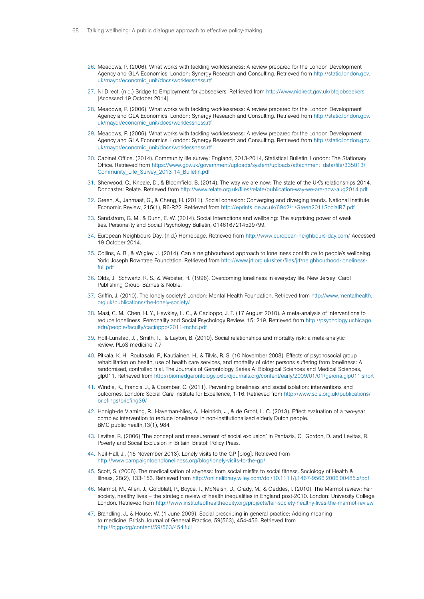- 26. Meadows, P. (2006). What works with tackling worklessness: A review prepared for the London Development Agency and GLA Economics. London: Synergy Research and Consulting. Retrieved from [http://static.london.gov.](http://static.london.gov.uk/mayor/economic_unit/docs/worklessness.rtf) [uk/mayor/economic\\_unit/docs/worklessness.rtf](http://static.london.gov.uk/mayor/economic_unit/docs/worklessness.rtf)
- 27. NI Direct. (n.d.) Bridge to Employment for Jobseekers. Retrieved from <http://www.nidirect.gov.uk/btejobseekers> [Accessed 19 October 2014].
- 28. Meadows, P. (2006). What works with tackling worklessness: A review prepared for the London Development Agency and GLA Economics. London: Synergy Research and Consulting. Retrieved from [http://static.london.gov.](http://static.london.gov.uk/mayor/economic_unit/docs/worklessness.rtf) [uk/mayor/economic\\_unit/docs/worklessness.rtf](http://static.london.gov.uk/mayor/economic_unit/docs/worklessness.rtf)
- 29. Meadows, P. (2006). What works with tackling worklessness: A review prepared for the London Development Agency and GLA Economics. London: Synergy Research and Consulting. Retrieved from [http://static.london.gov.](http://static.london.gov.uk/mayor/economic_unit/docs/worklessness.rtf) [uk/mayor/economic\\_unit/docs/worklessness.rtf](http://static.london.gov.uk/mayor/economic_unit/docs/worklessness.rtf)
- 30. Cabinet Office. (2014). Community life survey: England, 2013-2014, Statistical Bulletin. London: The Stationary Office. Retrieved from [https://www.gov.uk/government/uploads/system/uploads/attachment\\_data/file/335013/](https://www.gov.uk/government/uploads/system/uploads/attachment_data/file/335013/Community_Life_Survey_2013-14_Bulletin.pdf) [Community\\_Life\\_Survey\\_2013-14\\_Bulletin.pdf](https://www.gov.uk/government/uploads/system/uploads/attachment_data/file/335013/Community_Life_Survey_2013-14_Bulletin.pdf)
- 31. Sherwood, C., Kneale, D., & Bloomfield, B. (2014). The way we are now: The state of the UK's relationships 2014. Doncaster: Relate. Retrieved from <http://www.relate.org.uk/files/relate/publication-way-we-are-now-aug2014.pdf>
- 32. Green, A., Janmaat, G., & Cheng, H. (2011). Social cohesion: Converging and diverging trends. National Institute Economic Review, 215(1), R6-R22. Retrieved from <http://eprints.ioe.ac.uk/6942/1/Green2011SocialR7.pdf>
- 33. Sandstrom, G. M., & Dunn, E. W. (2014). Social Interactions and wellbeing: The surprising power of weak ties. Personality and Social Psychology Bulletin, 0146167214529799.
- 34. European Neighbours Day. (n.d.) Homepage. Retrieved from<http://www.european-neighbours-day.com/>Accessed 19 October 2014.
- 35. Collins, A. B., & Wrigley, J. (2014). Can a neighbourhood approach to loneliness contribute to people's wellbeing. York: Joseph Rowntree Foundation. Retrieved from [http://www.jrf.org.uk/sites/files/jrf/neighbourhood-loneliness](http://www.jrf.org.uk/sites/files/jrf/neighbourhood-loneliness-full.pdf)[full.pdf](http://www.jrf.org.uk/sites/files/jrf/neighbourhood-loneliness-full.pdf)
- 36. Olds, J., Schwartz, R. S., & Webster, H. (1996). Overcoming loneliness in everyday life. New Jersey: Carol Publishing Group, Barnes & Noble.
- 37. Griffin, J. (2010). The lonely society? London: Mental Health Foundation. Retrieved from [http://www.mentalhealth.](http://www.mentalhealth.org.uk/publications/the-lonely-society/) [org.uk/publications/the-lonely-society/](http://www.mentalhealth.org.uk/publications/the-lonely-society/)
- 38. Masi, C. M., Chen, H. Y., Hawkley, L. C., & Cacioppo, J. T. (17 August 2010). A meta-analysis of interventions to reduce loneliness. Personality and Social Psychology Review. 15: 219. Retrieved from [http://psychology.uchicago.](http://psychology.uchicago.edu/people/faculty/cacioppo/2011-mchc.pdf) [edu/people/faculty/cacioppo/2011-mchc.pdf](http://psychology.uchicago.edu/people/faculty/cacioppo/2011-mchc.pdf)
- 39. Holt-Lunstad, J. , Smith, T., & Layton, B. (2010). Social relationships and mortality risk: a meta-analytic review. PLoS medicine 7.7
- 40. Pitkala, K. H., Routasalo, P., Kautiainen, H., & Tilvis, R. S. (10 November 2008). Effects of psychosocial group rehabilitation on health, use of health care services, and mortality of older persons suffering from loneliness: A randomised, controlled trial. The Journals of Gerontology Series A: Biological Sciences and Medical Sciences, glp011. Retrieved from <http://biomedgerontology.oxfordjournals.org/content/early/2009/01/01/gerona.glp011.short>
- 41. Windle, K., Francis, J., & Coomber, C. (2011). Preventing loneliness and social isolation: interventions and outcomes. London: Social Care Institute for Excellence, 1-16. Retrieved from [http://www.scie.org.uk/publications/](http://www.scie.org.uk/publications/briefings/briefing39/) [briefings/briefing39/](http://www.scie.org.uk/publications/briefings/briefing39/)
- 42. Honigh-de Vlaming, R., Haveman-Nies, A., Heinrich, J., & de Groot, L. C. (2013). Effect evaluation of a two-year complex intervention to reduce loneliness in non-institutionalised elderly Dutch people. BMC public health,13(1), 984.
- 43. Levitas, R. (2006) 'The concept and measurement of social exclusion' in Pantazis, C., Gordon, D. and Levitas, R. Poverty and Social Exclusion in Britain. Bristol: Policy Press.
- 44. Neil-Hall, J., (15 November 2013). Lonely visits to the GP [blog]. Retrieved from <http://www.campaigntoendloneliness.org/blog/lonely-visits-to-the-gp/>
- 45. Scott, S. (2006). The medicalisation of shyness: from social misfits to social fitness. Sociology of Health & Illness, 28(2), 133-153. Retrieved from<http://onlinelibrary.wiley.com/doi/10.1111/j.1467-9566.2006.00485.x/pdf>
- 46. Marmot, M., Allen, J., Goldblatt, P., Boyce, T., McNeish, D., Grady, M., & Geddes, I. (2010). The Marmot review: Fair society, healthy lives – the strategic review of health inequalities in England post-2010. London: University College London. Retrieved from <http://www.instituteofhealthequity.org/projects/fair-society-healthy-lives-the-marmot-review>
- 47. Brandling, J., & House, W. (1 June 2009). Social prescribing in general practice: Adding meaning to medicine. British Journal of General Practice, 59(563), 454-456. Retrieved from <http://bjgp.org/content/59/563/454.full>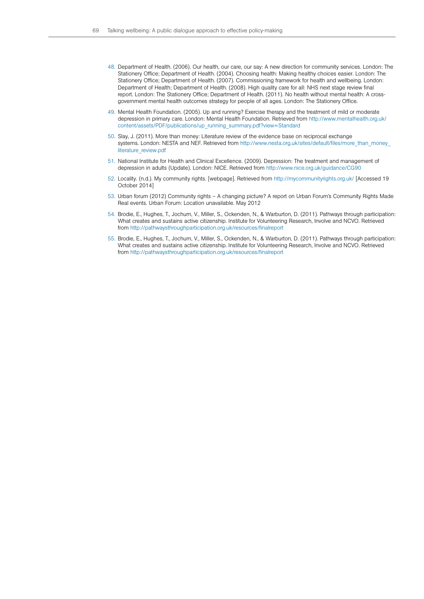- 48. Department of Health. (2006). Our health, our care, our say: A new direction for community services. London: The Stationery Office; Department of Health. (2004). Choosing health: Making healthy choices easier. London: The Stationery Office; Department of Health. (2007). Commissioning framework for health and wellbeing. London: Department of Health; Department of Health. (2008). High quality care for all: NHS next stage review final report. London: The Stationery Office; Department of Health. (2011). No health without mental health: A crossgovernment mental health outcomes strategy for people of all ages. London: The Stationery Office.
- 49. Mental Health Foundation. (2005). Up and running? Exercise therapy and the treatment of mild or moderate depression in primary care. London: Mental Health Foundation. Retrieved from [http://www.mentalhealth.org.uk/](http://www.mentalhealth.org.uk/content/assets/PDF/publications/up_running_summary.pdf?view=Standard) [content/assets/PDF/publications/up\\_running\\_summary.pdf?view=Standard](http://www.mentalhealth.org.uk/content/assets/PDF/publications/up_running_summary.pdf?view=Standard)
- 50. Slay, J. (2011). More than money: Literature review of the evidence base on reciprocal exchange systems. London: NESTA and NEF. Retrieved from http://www.nesta.org.uk/sites/default/files/more\_than\_money [literature\\_review.pdf](http://www.nesta.org.uk/sites/default/files/more_than_money_literature_review.pdf)
- 51. National Institute for Health and Clinical Excellence. (2009). Depression: The treatment and management of depression in adults (Update). London: NICE. Retrieved from<http://www.nice.org.uk/guidance/CG90>
- 52. Locality. (n.d.). My community rights. [webpage]. Retrieved from <http://mycommunityrights.org.uk/> [Accessed 19 October 2014]
- 53. Urban forum (2012) Community rights A changing picture? A report on Urban Forum's Community Rights Made Real events. Urban Forum: Location unavailable. May 2012
- 54. Brodie, E., Hughes, T., Jochum, V., Miller, S., Ockenden, N., & Warburton, D. (2011). Pathways through participation: What creates and sustains active citizenship. Institute for Volunteering Research, Involve and NCVO. Retrieved from<http://pathwaysthroughparticipation.org.uk/resources/finalreport>
- 55. Brodie, E., Hughes, T., Jochum, V., Miller, S., Ockenden, N., & Warburton, D. (2011). Pathways through participation: What creates and sustains active citizenship. Institute for Volunteering Research, Involve and NCVO. Retrieved from<http://pathwaysthroughparticipation.org.uk/resources/finalreport>